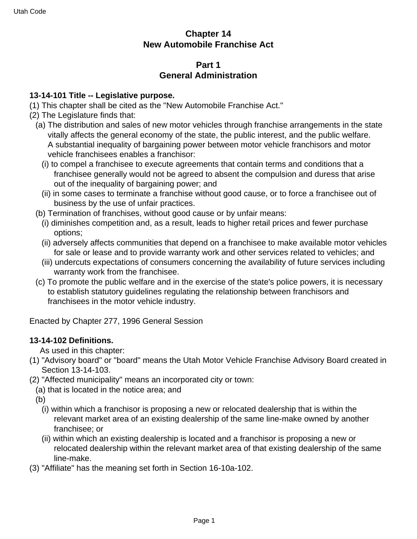# **Chapter 14 New Automobile Franchise Act**

# **Part 1 General Administration**

### **13-14-101 Title -- Legislative purpose.**

- (1) This chapter shall be cited as the "New Automobile Franchise Act."
- (2) The Legislature finds that:
	- (a) The distribution and sales of new motor vehicles through franchise arrangements in the state vitally affects the general economy of the state, the public interest, and the public welfare. A substantial inequality of bargaining power between motor vehicle franchisors and motor vehicle franchisees enables a franchisor:
		- (i) to compel a franchisee to execute agreements that contain terms and conditions that a franchisee generally would not be agreed to absent the compulsion and duress that arise out of the inequality of bargaining power; and
		- (ii) in some cases to terminate a franchise without good cause, or to force a franchisee out of business by the use of unfair practices.
	- (b) Termination of franchises, without good cause or by unfair means:
		- (i) diminishes competition and, as a result, leads to higher retail prices and fewer purchase options;
		- (ii) adversely affects communities that depend on a franchisee to make available motor vehicles for sale or lease and to provide warranty work and other services related to vehicles; and
		- (iii) undercuts expectations of consumers concerning the availability of future services including warranty work from the franchisee.
	- (c) To promote the public welfare and in the exercise of the state's police powers, it is necessary to establish statutory guidelines regulating the relationship between franchisors and franchisees in the motor vehicle industry.

Enacted by Chapter 277, 1996 General Session

# **13-14-102 Definitions.**

As used in this chapter:

- (1) "Advisory board" or "board" means the Utah Motor Vehicle Franchise Advisory Board created in Section 13-14-103.
- (2) "Affected municipality" means an incorporated city or town:
- (a) that is located in the notice area; and

(b)

- (i) within which a franchisor is proposing a new or relocated dealership that is within the relevant market area of an existing dealership of the same line-make owned by another franchisee; or
- (ii) within which an existing dealership is located and a franchisor is proposing a new or relocated dealership within the relevant market area of that existing dealership of the same line-make.
- (3) "Affiliate" has the meaning set forth in Section 16-10a-102.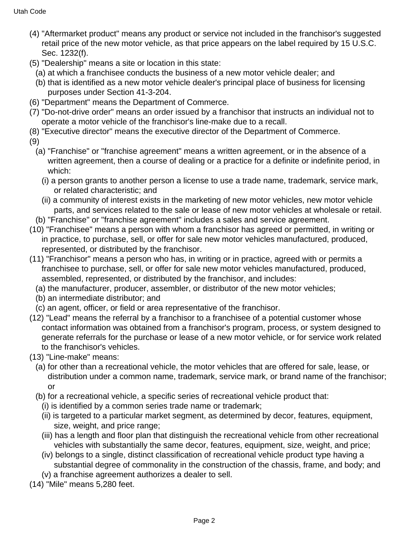- (4) "Aftermarket product" means any product or service not included in the franchisor's suggested retail price of the new motor vehicle, as that price appears on the label required by 15 U.S.C. Sec. 1232(f).
- (5) "Dealership" means a site or location in this state:
	- (a) at which a franchisee conducts the business of a new motor vehicle dealer; and
	- (b) that is identified as a new motor vehicle dealer's principal place of business for licensing purposes under Section 41-3-204.
- (6) "Department" means the Department of Commerce.
- (7) "Do-not-drive order" means an order issued by a franchisor that instructs an individual not to operate a motor vehicle of the franchisor's line-make due to a recall.
- (8) "Executive director" means the executive director of the Department of Commerce.
- (9)
	- (a) "Franchise" or "franchise agreement" means a written agreement, or in the absence of a written agreement, then a course of dealing or a practice for a definite or indefinite period, in which:
		- (i) a person grants to another person a license to use a trade name, trademark, service mark, or related characteristic; and
		- (ii) a community of interest exists in the marketing of new motor vehicles, new motor vehicle parts, and services related to the sale or lease of new motor vehicles at wholesale or retail.
	- (b) "Franchise" or "franchise agreement" includes a sales and service agreement.
- (10) "Franchisee" means a person with whom a franchisor has agreed or permitted, in writing or in practice, to purchase, sell, or offer for sale new motor vehicles manufactured, produced, represented, or distributed by the franchisor.
- (11) "Franchisor" means a person who has, in writing or in practice, agreed with or permits a franchisee to purchase, sell, or offer for sale new motor vehicles manufactured, produced, assembled, represented, or distributed by the franchisor, and includes:
	- (a) the manufacturer, producer, assembler, or distributor of the new motor vehicles;
	- (b) an intermediate distributor; and
	- (c) an agent, officer, or field or area representative of the franchisor.
- (12) "Lead" means the referral by a franchisor to a franchisee of a potential customer whose contact information was obtained from a franchisor's program, process, or system designed to generate referrals for the purchase or lease of a new motor vehicle, or for service work related to the franchisor's vehicles.
- (13) "Line-make" means:
	- (a) for other than a recreational vehicle, the motor vehicles that are offered for sale, lease, or distribution under a common name, trademark, service mark, or brand name of the franchisor; or
	- (b) for a recreational vehicle, a specific series of recreational vehicle product that:
		- (i) is identified by a common series trade name or trademark;
		- (ii) is targeted to a particular market segment, as determined by decor, features, equipment, size, weight, and price range;
		- (iii) has a length and floor plan that distinguish the recreational vehicle from other recreational vehicles with substantially the same decor, features, equipment, size, weight, and price;
		- (iv) belongs to a single, distinct classification of recreational vehicle product type having a substantial degree of commonality in the construction of the chassis, frame, and body; and
		- (v) a franchise agreement authorizes a dealer to sell.
- (14) "Mile" means 5,280 feet.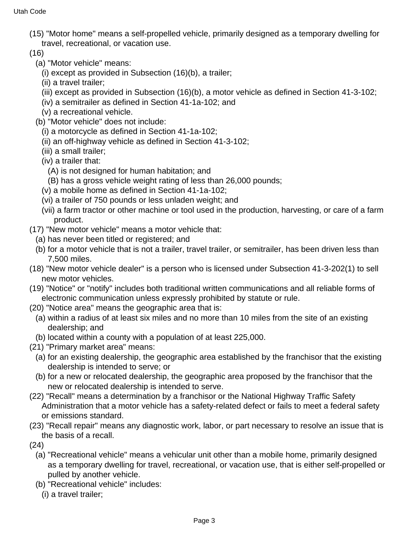- (15) "Motor home" means a self-propelled vehicle, primarily designed as a temporary dwelling for travel, recreational, or vacation use.
- (16)
	- (a) "Motor vehicle" means:
		- (i) except as provided in Subsection (16)(b), a trailer;
		- (ii) a travel trailer;
		- (iii) except as provided in Subsection (16)(b), a motor vehicle as defined in Section 41-3-102;
		- (iv) a semitrailer as defined in Section 41-1a-102; and
		- (v) a recreational vehicle.
	- (b) "Motor vehicle" does not include:
		- (i) a motorcycle as defined in Section 41-1a-102;
		- (ii) an off-highway vehicle as defined in Section 41-3-102;
		- (iii) a small trailer;
		- (iv) a trailer that:
			- (A) is not designed for human habitation; and
		- (B) has a gross vehicle weight rating of less than 26,000 pounds;
		- (v) a mobile home as defined in Section 41-1a-102;
		- (vi) a trailer of 750 pounds or less unladen weight; and
		- (vii) a farm tractor or other machine or tool used in the production, harvesting, or care of a farm product.
- (17) "New motor vehicle" means a motor vehicle that:
	- (a) has never been titled or registered; and
	- (b) for a motor vehicle that is not a trailer, travel trailer, or semitrailer, has been driven less than 7,500 miles.
- (18) "New motor vehicle dealer" is a person who is licensed under Subsection 41-3-202(1) to sell new motor vehicles.
- (19) "Notice" or "notify" includes both traditional written communications and all reliable forms of electronic communication unless expressly prohibited by statute or rule.
- (20) "Notice area" means the geographic area that is:
	- (a) within a radius of at least six miles and no more than 10 miles from the site of an existing dealership; and
	- (b) located within a county with a population of at least 225,000.
- (21) "Primary market area" means:
	- (a) for an existing dealership, the geographic area established by the franchisor that the existing dealership is intended to serve; or
	- (b) for a new or relocated dealership, the geographic area proposed by the franchisor that the new or relocated dealership is intended to serve.
- (22) "Recall" means a determination by a franchisor or the National Highway Traffic Safety Administration that a motor vehicle has a safety-related defect or fails to meet a federal safety or emissions standard.
- (23) "Recall repair" means any diagnostic work, labor, or part necessary to resolve an issue that is the basis of a recall.
- (24)
	- (a) "Recreational vehicle" means a vehicular unit other than a mobile home, primarily designed as a temporary dwelling for travel, recreational, or vacation use, that is either self-propelled or pulled by another vehicle.
	- (b) "Recreational vehicle" includes:
		- (i) a travel trailer;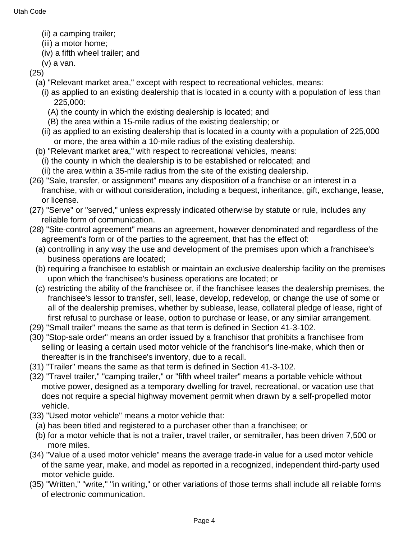- (ii) a camping trailer;
- (iii) a motor home;
- (iv) a fifth wheel trailer; and
- (v) a van.
- (25)
	- (a) "Relevant market area," except with respect to recreational vehicles, means:
		- (i) as applied to an existing dealership that is located in a county with a population of less than 225,000:
			- (A) the county in which the existing dealership is located; and
			- (B) the area within a 15-mile radius of the existing dealership; or
		- (ii) as applied to an existing dealership that is located in a county with a population of 225,000 or more, the area within a 10-mile radius of the existing dealership.
	- (b) "Relevant market area," with respect to recreational vehicles, means:
		- (i) the county in which the dealership is to be established or relocated; and
		- (ii) the area within a 35-mile radius from the site of the existing dealership.
- (26) "Sale, transfer, or assignment" means any disposition of a franchise or an interest in a franchise, with or without consideration, including a bequest, inheritance, gift, exchange, lease, or license.
- (27) "Serve" or "served," unless expressly indicated otherwise by statute or rule, includes any reliable form of communication.
- (28) "Site-control agreement" means an agreement, however denominated and regardless of the agreement's form or of the parties to the agreement, that has the effect of:
	- (a) controlling in any way the use and development of the premises upon which a franchisee's business operations are located;
	- (b) requiring a franchisee to establish or maintain an exclusive dealership facility on the premises upon which the franchisee's business operations are located; or
	- (c) restricting the ability of the franchisee or, if the franchisee leases the dealership premises, the franchisee's lessor to transfer, sell, lease, develop, redevelop, or change the use of some or all of the dealership premises, whether by sublease, lease, collateral pledge of lease, right of first refusal to purchase or lease, option to purchase or lease, or any similar arrangement.
- (29) "Small trailer" means the same as that term is defined in Section 41-3-102.
- (30) "Stop-sale order" means an order issued by a franchisor that prohibits a franchisee from selling or leasing a certain used motor vehicle of the franchisor's line-make, which then or thereafter is in the franchisee's inventory, due to a recall.
- (31) "Trailer" means the same as that term is defined in Section 41-3-102.
- (32) "Travel trailer," "camping trailer," or "fifth wheel trailer" means a portable vehicle without motive power, designed as a temporary dwelling for travel, recreational, or vacation use that does not require a special highway movement permit when drawn by a self-propelled motor vehicle.
- (33) "Used motor vehicle" means a motor vehicle that:
	- (a) has been titled and registered to a purchaser other than a franchisee; or
	- (b) for a motor vehicle that is not a trailer, travel trailer, or semitrailer, has been driven 7,500 or more miles.
- (34) "Value of a used motor vehicle" means the average trade-in value for a used motor vehicle of the same year, make, and model as reported in a recognized, independent third-party used motor vehicle guide.
- (35) "Written," "write," "in writing," or other variations of those terms shall include all reliable forms of electronic communication.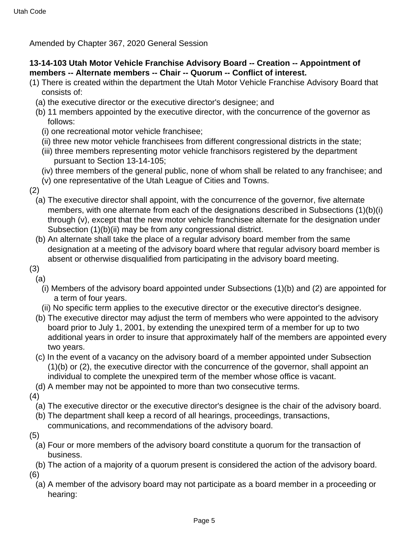Amended by Chapter 367, 2020 General Session

# **13-14-103 Utah Motor Vehicle Franchise Advisory Board -- Creation -- Appointment of members -- Alternate members -- Chair -- Quorum -- Conflict of interest.**

- (1) There is created within the department the Utah Motor Vehicle Franchise Advisory Board that consists of:
	- (a) the executive director or the executive director's designee; and
	- (b) 11 members appointed by the executive director, with the concurrence of the governor as follows:
		- (i) one recreational motor vehicle franchisee;
		- (ii) three new motor vehicle franchisees from different congressional districts in the state;
		- (iii) three members representing motor vehicle franchisors registered by the department pursuant to Section 13-14-105;
		- (iv) three members of the general public, none of whom shall be related to any franchisee; and
		- (v) one representative of the Utah League of Cities and Towns.
- (2)
	- (a) The executive director shall appoint, with the concurrence of the governor, five alternate members, with one alternate from each of the designations described in Subsections (1)(b)(i) through (v), except that the new motor vehicle franchisee alternate for the designation under Subsection (1)(b)(ii) may be from any congressional district.
	- (b) An alternate shall take the place of a regular advisory board member from the same designation at a meeting of the advisory board where that regular advisory board member is absent or otherwise disqualified from participating in the advisory board meeting.
- (3)
- (a)
	- (i) Members of the advisory board appointed under Subsections (1)(b) and (2) are appointed for a term of four years.
	- (ii) No specific term applies to the executive director or the executive director's designee.
	- (b) The executive director may adjust the term of members who were appointed to the advisory board prior to July 1, 2001, by extending the unexpired term of a member for up to two additional years in order to insure that approximately half of the members are appointed every two years.
	- (c) In the event of a vacancy on the advisory board of a member appointed under Subsection (1)(b) or (2), the executive director with the concurrence of the governor, shall appoint an individual to complete the unexpired term of the member whose office is vacant.
- (d) A member may not be appointed to more than two consecutive terms.
- (4)
	- (a) The executive director or the executive director's designee is the chair of the advisory board.
	- (b) The department shall keep a record of all hearings, proceedings, transactions,
	- communications, and recommendations of the advisory board.
- (5)
	- (a) Four or more members of the advisory board constitute a quorum for the transaction of business.
- (b) The action of a majority of a quorum present is considered the action of the advisory board. (6)
	- (a) A member of the advisory board may not participate as a board member in a proceeding or hearing: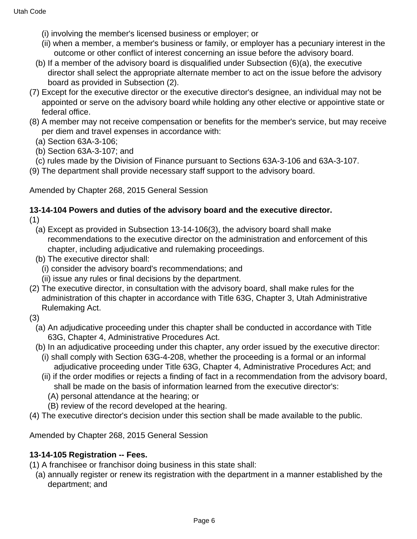- (i) involving the member's licensed business or employer; or
- (ii) when a member, a member's business or family, or employer has a pecuniary interest in the outcome or other conflict of interest concerning an issue before the advisory board.
- (b) If a member of the advisory board is disqualified under Subsection (6)(a), the executive director shall select the appropriate alternate member to act on the issue before the advisory board as provided in Subsection (2).
- (7) Except for the executive director or the executive director's designee, an individual may not be appointed or serve on the advisory board while holding any other elective or appointive state or federal office.
- (8) A member may not receive compensation or benefits for the member's service, but may receive per diem and travel expenses in accordance with:
	- (a) Section 63A-3-106;
	- (b) Section 63A-3-107; and
- (c) rules made by the Division of Finance pursuant to Sections 63A-3-106 and 63A-3-107.
- (9) The department shall provide necessary staff support to the advisory board.

Amended by Chapter 268, 2015 General Session

#### **13-14-104 Powers and duties of the advisory board and the executive director.** (1)

- (a) Except as provided in Subsection 13-14-106(3), the advisory board shall make recommendations to the executive director on the administration and enforcement of this chapter, including adjudicative and rulemaking proceedings.
- (b) The executive director shall:
	- (i) consider the advisory board's recommendations; and
	- (ii) issue any rules or final decisions by the department.
- (2) The executive director, in consultation with the advisory board, shall make rules for the administration of this chapter in accordance with Title 63G, Chapter 3, Utah Administrative Rulemaking Act.
- (3)
	- (a) An adjudicative proceeding under this chapter shall be conducted in accordance with Title 63G, Chapter 4, Administrative Procedures Act.
	- (b) In an adjudicative proceeding under this chapter, any order issued by the executive director:
		- (i) shall comply with Section 63G-4-208, whether the proceeding is a formal or an informal adjudicative proceeding under Title 63G, Chapter 4, Administrative Procedures Act; and
		- (ii) if the order modifies or rejects a finding of fact in a recommendation from the advisory board, shall be made on the basis of information learned from the executive director's:
			- (A) personal attendance at the hearing; or
			- (B) review of the record developed at the hearing.
- (4) The executive director's decision under this section shall be made available to the public.

Amended by Chapter 268, 2015 General Session

#### **13-14-105 Registration -- Fees.**

- (1) A franchisee or franchisor doing business in this state shall:
	- (a) annually register or renew its registration with the department in a manner established by the department; and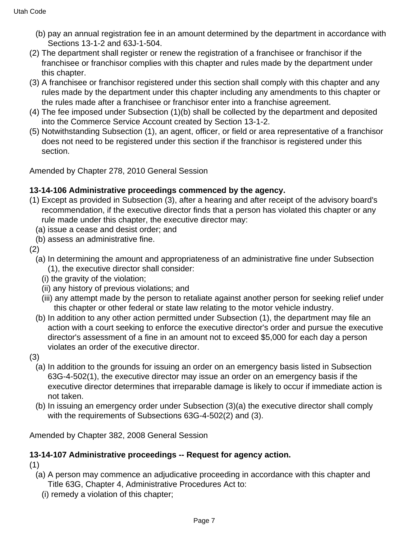- (b) pay an annual registration fee in an amount determined by the department in accordance with Sections 13-1-2 and 63J-1-504.
- (2) The department shall register or renew the registration of a franchisee or franchisor if the franchisee or franchisor complies with this chapter and rules made by the department under this chapter.
- (3) A franchisee or franchisor registered under this section shall comply with this chapter and any rules made by the department under this chapter including any amendments to this chapter or the rules made after a franchisee or franchisor enter into a franchise agreement.
- (4) The fee imposed under Subsection (1)(b) shall be collected by the department and deposited into the Commerce Service Account created by Section 13-1-2.
- (5) Notwithstanding Subsection (1), an agent, officer, or field or area representative of a franchisor does not need to be registered under this section if the franchisor is registered under this section.

Amended by Chapter 278, 2010 General Session

# **13-14-106 Administrative proceedings commenced by the agency.**

- (1) Except as provided in Subsection (3), after a hearing and after receipt of the advisory board's recommendation, if the executive director finds that a person has violated this chapter or any rule made under this chapter, the executive director may:
	- (a) issue a cease and desist order; and
	- (b) assess an administrative fine.
- (2)
	- (a) In determining the amount and appropriateness of an administrative fine under Subsection (1), the executive director shall consider:
		- (i) the gravity of the violation;
		- (ii) any history of previous violations; and
		- (iii) any attempt made by the person to retaliate against another person for seeking relief under this chapter or other federal or state law relating to the motor vehicle industry.
	- (b) In addition to any other action permitted under Subsection (1), the department may file an action with a court seeking to enforce the executive director's order and pursue the executive director's assessment of a fine in an amount not to exceed \$5,000 for each day a person violates an order of the executive director.
- (3)
	- (a) In addition to the grounds for issuing an order on an emergency basis listed in Subsection 63G-4-502(1), the executive director may issue an order on an emergency basis if the executive director determines that irreparable damage is likely to occur if immediate action is not taken.
	- (b) In issuing an emergency order under Subsection (3)(a) the executive director shall comply with the requirements of Subsections 63G-4-502(2) and (3).

Amended by Chapter 382, 2008 General Session

# **13-14-107 Administrative proceedings -- Request for agency action.**

- (1)
	- (a) A person may commence an adjudicative proceeding in accordance with this chapter and Title 63G, Chapter 4, Administrative Procedures Act to:
		- (i) remedy a violation of this chapter;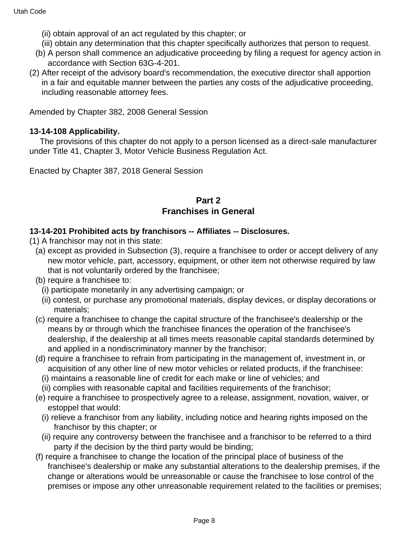- (ii) obtain approval of an act regulated by this chapter; or
- (iii) obtain any determination that this chapter specifically authorizes that person to request.
- (b) A person shall commence an adjudicative proceeding by filing a request for agency action in accordance with Section 63G-4-201.
- (2) After receipt of the advisory board's recommendation, the executive director shall apportion in a fair and equitable manner between the parties any costs of the adjudicative proceeding, including reasonable attorney fees.

Amended by Chapter 382, 2008 General Session

### **13-14-108 Applicability.**

 The provisions of this chapter do not apply to a person licensed as a direct-sale manufacturer under Title 41, Chapter 3, Motor Vehicle Business Regulation Act.

Enacted by Chapter 387, 2018 General Session

# **Part 2 Franchises in General**

### **13-14-201 Prohibited acts by franchisors -- Affiliates -- Disclosures.**

- (1) A franchisor may not in this state:
	- (a) except as provided in Subsection (3), require a franchisee to order or accept delivery of any new motor vehicle, part, accessory, equipment, or other item not otherwise required by law that is not voluntarily ordered by the franchisee;
	- (b) require a franchisee to:
		- (i) participate monetarily in any advertising campaign; or
		- (ii) contest, or purchase any promotional materials, display devices, or display decorations or materials;
	- (c) require a franchisee to change the capital structure of the franchisee's dealership or the means by or through which the franchisee finances the operation of the franchisee's dealership, if the dealership at all times meets reasonable capital standards determined by and applied in a nondiscriminatory manner by the franchisor;
	- (d) require a franchisee to refrain from participating in the management of, investment in, or acquisition of any other line of new motor vehicles or related products, if the franchisee:
		- (i) maintains a reasonable line of credit for each make or line of vehicles; and
		- (ii) complies with reasonable capital and facilities requirements of the franchisor;
	- (e) require a franchisee to prospectively agree to a release, assignment, novation, waiver, or estoppel that would:
		- (i) relieve a franchisor from any liability, including notice and hearing rights imposed on the franchisor by this chapter; or
		- (ii) require any controversy between the franchisee and a franchisor to be referred to a third party if the decision by the third party would be binding;
	- (f) require a franchisee to change the location of the principal place of business of the franchisee's dealership or make any substantial alterations to the dealership premises, if the change or alterations would be unreasonable or cause the franchisee to lose control of the premises or impose any other unreasonable requirement related to the facilities or premises;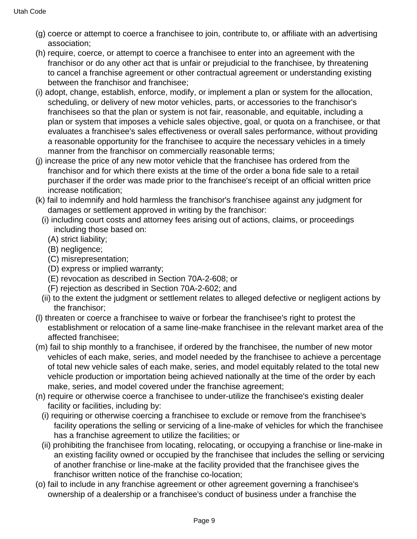- (g) coerce or attempt to coerce a franchisee to join, contribute to, or affiliate with an advertising association;
- (h) require, coerce, or attempt to coerce a franchisee to enter into an agreement with the franchisor or do any other act that is unfair or prejudicial to the franchisee, by threatening to cancel a franchise agreement or other contractual agreement or understanding existing between the franchisor and franchisee;
- (i) adopt, change, establish, enforce, modify, or implement a plan or system for the allocation, scheduling, or delivery of new motor vehicles, parts, or accessories to the franchisor's franchisees so that the plan or system is not fair, reasonable, and equitable, including a plan or system that imposes a vehicle sales objective, goal, or quota on a franchisee, or that evaluates a franchisee's sales effectiveness or overall sales performance, without providing a reasonable opportunity for the franchisee to acquire the necessary vehicles in a timely manner from the franchisor on commercially reasonable terms;
- (j) increase the price of any new motor vehicle that the franchisee has ordered from the franchisor and for which there exists at the time of the order a bona fide sale to a retail purchaser if the order was made prior to the franchisee's receipt of an official written price increase notification;
- (k) fail to indemnify and hold harmless the franchisor's franchisee against any judgment for damages or settlement approved in writing by the franchisor:
	- (i) including court costs and attorney fees arising out of actions, claims, or proceedings including those based on:
		- (A) strict liability;
		- (B) negligence;
		- (C) misrepresentation;
		- (D) express or implied warranty;
		- (E) revocation as described in Section 70A-2-608; or
		- (F) rejection as described in Section 70A-2-602; and
	- (ii) to the extent the judgment or settlement relates to alleged defective or negligent actions by the franchisor;
- (l) threaten or coerce a franchisee to waive or forbear the franchisee's right to protest the establishment or relocation of a same line-make franchisee in the relevant market area of the affected franchisee;
- (m) fail to ship monthly to a franchisee, if ordered by the franchisee, the number of new motor vehicles of each make, series, and model needed by the franchisee to achieve a percentage of total new vehicle sales of each make, series, and model equitably related to the total new vehicle production or importation being achieved nationally at the time of the order by each make, series, and model covered under the franchise agreement;
- (n) require or otherwise coerce a franchisee to under-utilize the franchisee's existing dealer facility or facilities, including by:
	- (i) requiring or otherwise coercing a franchisee to exclude or remove from the franchisee's facility operations the selling or servicing of a line-make of vehicles for which the franchisee has a franchise agreement to utilize the facilities; or
	- (ii) prohibiting the franchisee from locating, relocating, or occupying a franchise or line-make in an existing facility owned or occupied by the franchisee that includes the selling or servicing of another franchise or line-make at the facility provided that the franchisee gives the franchisor written notice of the franchise co-location;
- (o) fail to include in any franchise agreement or other agreement governing a franchisee's ownership of a dealership or a franchisee's conduct of business under a franchise the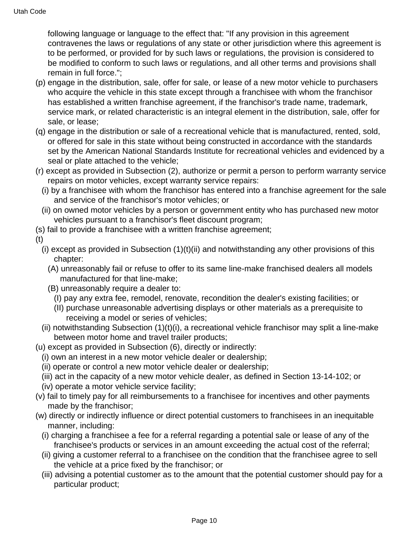following language or language to the effect that: "If any provision in this agreement contravenes the laws or regulations of any state or other jurisdiction where this agreement is to be performed, or provided for by such laws or regulations, the provision is considered to be modified to conform to such laws or regulations, and all other terms and provisions shall remain in full force.";

- (p) engage in the distribution, sale, offer for sale, or lease of a new motor vehicle to purchasers who acquire the vehicle in this state except through a franchisee with whom the franchisor has established a written franchise agreement, if the franchisor's trade name, trademark, service mark, or related characteristic is an integral element in the distribution, sale, offer for sale, or lease;
- (q) engage in the distribution or sale of a recreational vehicle that is manufactured, rented, sold, or offered for sale in this state without being constructed in accordance with the standards set by the American National Standards Institute for recreational vehicles and evidenced by a seal or plate attached to the vehicle;
- (r) except as provided in Subsection (2), authorize or permit a person to perform warranty service repairs on motor vehicles, except warranty service repairs:
	- (i) by a franchisee with whom the franchisor has entered into a franchise agreement for the sale and service of the franchisor's motor vehicles; or
	- (ii) on owned motor vehicles by a person or government entity who has purchased new motor vehicles pursuant to a franchisor's fleet discount program;
- (s) fail to provide a franchisee with a written franchise agreement;
- (t)
	- (i) except as provided in Subsection  $(1)(t)(ii)$  and notwithstanding any other provisions of this chapter:
		- (A) unreasonably fail or refuse to offer to its same line-make franchised dealers all models manufactured for that line-make;
		- (B) unreasonably require a dealer to:
			- (I) pay any extra fee, remodel, renovate, recondition the dealer's existing facilities; or
			- (II) purchase unreasonable advertising displays or other materials as a prerequisite to receiving a model or series of vehicles;
	- (ii) notwithstanding Subsection (1)(t)(i), a recreational vehicle franchisor may split a line-make between motor home and travel trailer products;
- (u) except as provided in Subsection (6), directly or indirectly:
	- (i) own an interest in a new motor vehicle dealer or dealership;
	- (ii) operate or control a new motor vehicle dealer or dealership;
	- (iii) act in the capacity of a new motor vehicle dealer, as defined in Section 13-14-102; or
	- (iv) operate a motor vehicle service facility;
- (v) fail to timely pay for all reimbursements to a franchisee for incentives and other payments made by the franchisor;
- (w) directly or indirectly influence or direct potential customers to franchisees in an inequitable manner, including:
	- (i) charging a franchisee a fee for a referral regarding a potential sale or lease of any of the franchisee's products or services in an amount exceeding the actual cost of the referral;
	- (ii) giving a customer referral to a franchisee on the condition that the franchisee agree to sell the vehicle at a price fixed by the franchisor; or
	- (iii) advising a potential customer as to the amount that the potential customer should pay for a particular product;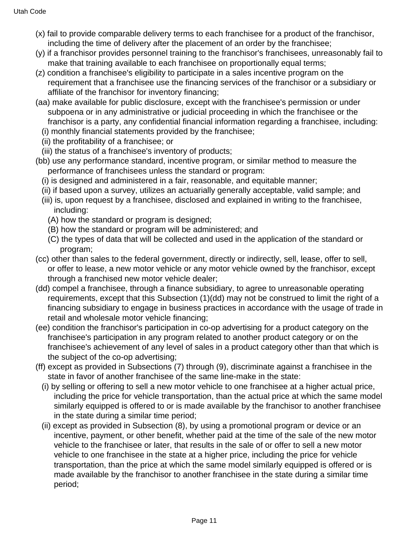- (x) fail to provide comparable delivery terms to each franchisee for a product of the franchisor, including the time of delivery after the placement of an order by the franchisee;
- (y) if a franchisor provides personnel training to the franchisor's franchisees, unreasonably fail to make that training available to each franchisee on proportionally equal terms;
- (z) condition a franchisee's eligibility to participate in a sales incentive program on the requirement that a franchisee use the financing services of the franchisor or a subsidiary or affiliate of the franchisor for inventory financing;
- (aa) make available for public disclosure, except with the franchisee's permission or under subpoena or in any administrative or judicial proceeding in which the franchisee or the franchisor is a party, any confidential financial information regarding a franchisee, including:
	- (i) monthly financial statements provided by the franchisee;
	- (ii) the profitability of a franchisee; or
	- (iii) the status of a franchisee's inventory of products;
- (bb) use any performance standard, incentive program, or similar method to measure the performance of franchisees unless the standard or program:
	- (i) is designed and administered in a fair, reasonable, and equitable manner;
	- (ii) if based upon a survey, utilizes an actuarially generally acceptable, valid sample; and
	- (iii) is, upon request by a franchisee, disclosed and explained in writing to the franchisee, including:
		- (A) how the standard or program is designed;
		- (B) how the standard or program will be administered; and
		- (C) the types of data that will be collected and used in the application of the standard or program;
- (cc) other than sales to the federal government, directly or indirectly, sell, lease, offer to sell, or offer to lease, a new motor vehicle or any motor vehicle owned by the franchisor, except through a franchised new motor vehicle dealer;
- (dd) compel a franchisee, through a finance subsidiary, to agree to unreasonable operating requirements, except that this Subsection (1)(dd) may not be construed to limit the right of a financing subsidiary to engage in business practices in accordance with the usage of trade in retail and wholesale motor vehicle financing;
- (ee) condition the franchisor's participation in co-op advertising for a product category on the franchisee's participation in any program related to another product category or on the franchisee's achievement of any level of sales in a product category other than that which is the subject of the co-op advertising;
- (ff) except as provided in Subsections (7) through (9), discriminate against a franchisee in the state in favor of another franchisee of the same line-make in the state:
	- (i) by selling or offering to sell a new motor vehicle to one franchisee at a higher actual price, including the price for vehicle transportation, than the actual price at which the same model similarly equipped is offered to or is made available by the franchisor to another franchisee in the state during a similar time period;
	- (ii) except as provided in Subsection (8), by using a promotional program or device or an incentive, payment, or other benefit, whether paid at the time of the sale of the new motor vehicle to the franchisee or later, that results in the sale of or offer to sell a new motor vehicle to one franchisee in the state at a higher price, including the price for vehicle transportation, than the price at which the same model similarly equipped is offered or is made available by the franchisor to another franchisee in the state during a similar time period;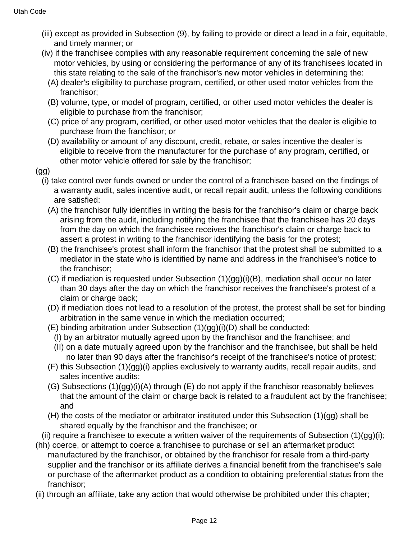- (iii) except as provided in Subsection (9), by failing to provide or direct a lead in a fair, equitable, and timely manner; or
- (iv) if the franchisee complies with any reasonable requirement concerning the sale of new motor vehicles, by using or considering the performance of any of its franchisees located in this state relating to the sale of the franchisor's new motor vehicles in determining the:
	- (A) dealer's eligibility to purchase program, certified, or other used motor vehicles from the franchisor;
	- (B) volume, type, or model of program, certified, or other used motor vehicles the dealer is eligible to purchase from the franchisor;
	- (C) price of any program, certified, or other used motor vehicles that the dealer is eligible to purchase from the franchisor; or
	- (D) availability or amount of any discount, credit, rebate, or sales incentive the dealer is eligible to receive from the manufacturer for the purchase of any program, certified, or other motor vehicle offered for sale by the franchisor;
- (gg)
	- (i) take control over funds owned or under the control of a franchisee based on the findings of a warranty audit, sales incentive audit, or recall repair audit, unless the following conditions are satisfied:
		- (A) the franchisor fully identifies in writing the basis for the franchisor's claim or charge back arising from the audit, including notifying the franchisee that the franchisee has 20 days from the day on which the franchisee receives the franchisor's claim or charge back to assert a protest in writing to the franchisor identifying the basis for the protest;
		- (B) the franchisee's protest shall inform the franchisor that the protest shall be submitted to a mediator in the state who is identified by name and address in the franchisee's notice to the franchisor;
		- (C) if mediation is requested under Subsection (1)(gg)(i)(B), mediation shall occur no later than 30 days after the day on which the franchisor receives the franchisee's protest of a claim or charge back;
		- (D) if mediation does not lead to a resolution of the protest, the protest shall be set for binding arbitration in the same venue in which the mediation occurred;
		- (E) binding arbitration under Subsection (1)(gg)(i)(D) shall be conducted:
			- (I) by an arbitrator mutually agreed upon by the franchisor and the franchisee; and
			- (II) on a date mutually agreed upon by the franchisor and the franchisee, but shall be held no later than 90 days after the franchisor's receipt of the franchisee's notice of protest;
		- (F) this Subsection (1)(gg)(i) applies exclusively to warranty audits, recall repair audits, and sales incentive audits;
		- (G) Subsections (1)(gg)(i)(A) through (E) do not apply if the franchisor reasonably believes that the amount of the claim or charge back is related to a fraudulent act by the franchisee; and
		- (H) the costs of the mediator or arbitrator instituted under this Subsection (1)(gg) shall be shared equally by the franchisor and the franchisee; or
- (ii) require a franchisee to execute a written waiver of the requirements of Subsection  $(1)(qq)(i)$ ;
- (hh) coerce, or attempt to coerce a franchisee to purchase or sell an aftermarket product manufactured by the franchisor, or obtained by the franchisor for resale from a third-party supplier and the franchisor or its affiliate derives a financial benefit from the franchisee's sale or purchase of the aftermarket product as a condition to obtaining preferential status from the franchisor;
- (ii) through an affiliate, take any action that would otherwise be prohibited under this chapter;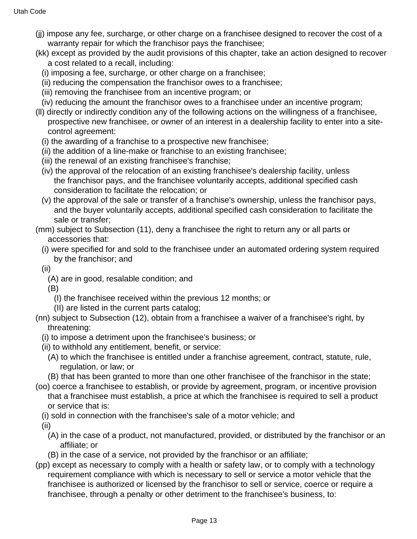- (jj) impose any fee, surcharge, or other charge on a franchisee designed to recover the cost of a warranty repair for which the franchisor pays the franchisee;
- (kk) except as provided by the audit provisions of this chapter, take an action designed to recover a cost related to a recall, including:
	- (i) imposing a fee, surcharge, or other charge on a franchisee;
	- (ii) reducing the compensation the franchisor owes to a franchisee;
	- (iii) removing the franchisee from an incentive program; or
- (iv) reducing the amount the franchisor owes to a franchisee under an incentive program;
- (ll) directly or indirectly condition any of the following actions on the willingness of a franchisee, prospective new franchisee, or owner of an interest in a dealership facility to enter into a sitecontrol agreement:
	- (i) the awarding of a franchise to a prospective new franchisee;
	- (ii) the addition of a line-make or franchise to an existing franchisee;
	- (iii) the renewal of an existing franchisee's franchise;
	- (iv) the approval of the relocation of an existing franchisee's dealership facility, unless the franchisor pays, and the franchisee voluntarily accepts, additional specified cash consideration to facilitate the relocation; or
	- (v) the approval of the sale or transfer of a franchise's ownership, unless the franchisor pays, and the buyer voluntarily accepts, additional specified cash consideration to facilitate the sale or transfer;
- (mm) subject to Subsection (11), deny a franchisee the right to return any or all parts or accessories that:
	- (i) were specified for and sold to the franchisee under an automated ordering system required by the franchisor; and
	- (ii)
		- (A) are in good, resalable condition; and

(B)

- (I) the franchisee received within the previous 12 months; or
- (II) are listed in the current parts catalog;
- (nn) subject to Subsection (12), obtain from a franchisee a waiver of a franchisee's right, by threatening:
	- (i) to impose a detriment upon the franchisee's business; or
	- (ii) to withhold any entitlement, benefit, or service:
		- (A) to which the franchisee is entitled under a franchise agreement, contract, statute, rule, regulation, or law; or
		- (B) that has been granted to more than one other franchisee of the franchisor in the state;
- (oo) coerce a franchisee to establish, or provide by agreement, program, or incentive provision that a franchisee must establish, a price at which the franchisee is required to sell a product or service that is:
	- (i) sold in connection with the franchisee's sale of a motor vehicle; and
	- (ii)
		- (A) in the case of a product, not manufactured, provided, or distributed by the franchisor or an affiliate; or
	- (B) in the case of a service, not provided by the franchisor or an affiliate;
- (pp) except as necessary to comply with a health or safety law, or to comply with a technology requirement compliance with which is necessary to sell or service a motor vehicle that the franchisee is authorized or licensed by the franchisor to sell or service, coerce or require a franchisee, through a penalty or other detriment to the franchisee's business, to: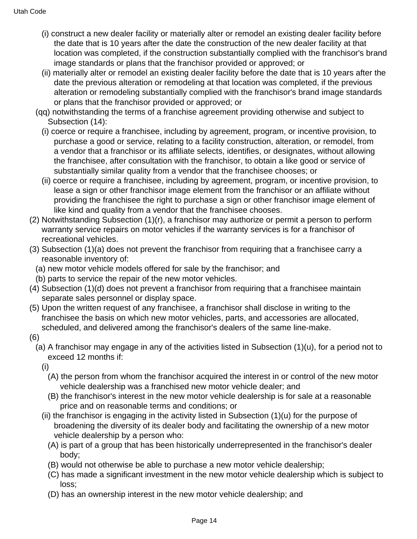- (i) construct a new dealer facility or materially alter or remodel an existing dealer facility before the date that is 10 years after the date the construction of the new dealer facility at that location was completed, if the construction substantially complied with the franchisor's brand image standards or plans that the franchisor provided or approved; or
- (ii) materially alter or remodel an existing dealer facility before the date that is 10 years after the date the previous alteration or remodeling at that location was completed, if the previous alteration or remodeling substantially complied with the franchisor's brand image standards or plans that the franchisor provided or approved; or
- (qq) notwithstanding the terms of a franchise agreement providing otherwise and subject to Subsection (14):
	- (i) coerce or require a franchisee, including by agreement, program, or incentive provision, to purchase a good or service, relating to a facility construction, alteration, or remodel, from a vendor that a franchisor or its affiliate selects, identifies, or designates, without allowing the franchisee, after consultation with the franchisor, to obtain a like good or service of substantially similar quality from a vendor that the franchisee chooses; or
	- (ii) coerce or require a franchisee, including by agreement, program, or incentive provision, to lease a sign or other franchisor image element from the franchisor or an affiliate without providing the franchisee the right to purchase a sign or other franchisor image element of like kind and quality from a vendor that the franchisee chooses.
- (2) Notwithstanding Subsection (1)(r), a franchisor may authorize or permit a person to perform warranty service repairs on motor vehicles if the warranty services is for a franchisor of recreational vehicles.
- (3) Subsection (1)(a) does not prevent the franchisor from requiring that a franchisee carry a reasonable inventory of:
	- (a) new motor vehicle models offered for sale by the franchisor; and
	- (b) parts to service the repair of the new motor vehicles.
- (4) Subsection (1)(d) does not prevent a franchisor from requiring that a franchisee maintain separate sales personnel or display space.
- (5) Upon the written request of any franchisee, a franchisor shall disclose in writing to the franchisee the basis on which new motor vehicles, parts, and accessories are allocated, scheduled, and delivered among the franchisor's dealers of the same line-make.
- (6)
	- (a) A franchisor may engage in any of the activities listed in Subsection (1)(u), for a period not to exceed 12 months if:
		- (i)
			- (A) the person from whom the franchisor acquired the interest in or control of the new motor vehicle dealership was a franchised new motor vehicle dealer; and
			- (B) the franchisor's interest in the new motor vehicle dealership is for sale at a reasonable price and on reasonable terms and conditions; or
		- (ii) the franchisor is engaging in the activity listed in Subsection  $(1)(u)$  for the purpose of broadening the diversity of its dealer body and facilitating the ownership of a new motor vehicle dealership by a person who:
			- (A) is part of a group that has been historically underrepresented in the franchisor's dealer body;
			- (B) would not otherwise be able to purchase a new motor vehicle dealership;
			- (C) has made a significant investment in the new motor vehicle dealership which is subject to loss;
			- (D) has an ownership interest in the new motor vehicle dealership; and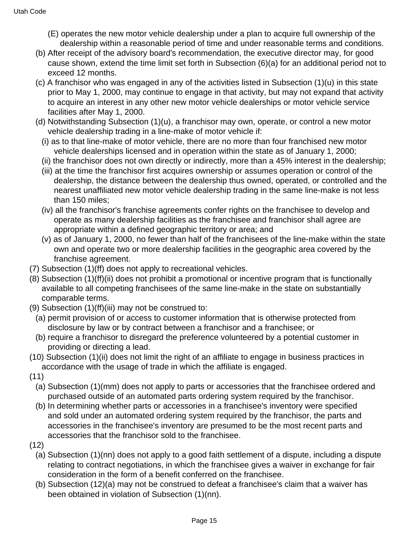- (E) operates the new motor vehicle dealership under a plan to acquire full ownership of the dealership within a reasonable period of time and under reasonable terms and conditions.
- (b) After receipt of the advisory board's recommendation, the executive director may, for good cause shown, extend the time limit set forth in Subsection (6)(a) for an additional period not to exceed 12 months.
- (c) A franchisor who was engaged in any of the activities listed in Subsection (1)(u) in this state prior to May 1, 2000, may continue to engage in that activity, but may not expand that activity to acquire an interest in any other new motor vehicle dealerships or motor vehicle service facilities after May 1, 2000.
- (d) Notwithstanding Subsection (1)(u), a franchisor may own, operate, or control a new motor vehicle dealership trading in a line-make of motor vehicle if:
	- (i) as to that line-make of motor vehicle, there are no more than four franchised new motor vehicle dealerships licensed and in operation within the state as of January 1, 2000;
	- (ii) the franchisor does not own directly or indirectly, more than a 45% interest in the dealership;
	- (iii) at the time the franchisor first acquires ownership or assumes operation or control of the dealership, the distance between the dealership thus owned, operated, or controlled and the nearest unaffiliated new motor vehicle dealership trading in the same line-make is not less than 150 miles;
	- (iv) all the franchisor's franchise agreements confer rights on the franchisee to develop and operate as many dealership facilities as the franchisee and franchisor shall agree are appropriate within a defined geographic territory or area; and
	- (v) as of January 1, 2000, no fewer than half of the franchisees of the line-make within the state own and operate two or more dealership facilities in the geographic area covered by the franchise agreement.
- (7) Subsection (1)(ff) does not apply to recreational vehicles.
- (8) Subsection (1)(ff)(ii) does not prohibit a promotional or incentive program that is functionally available to all competing franchisees of the same line-make in the state on substantially comparable terms.
- (9) Subsection (1)(ff)(iii) may not be construed to:
	- (a) permit provision of or access to customer information that is otherwise protected from disclosure by law or by contract between a franchisor and a franchisee; or
	- (b) require a franchisor to disregard the preference volunteered by a potential customer in providing or directing a lead.
- (10) Subsection (1)(ii) does not limit the right of an affiliate to engage in business practices in accordance with the usage of trade in which the affiliate is engaged.
- (11)
	- (a) Subsection (1)(mm) does not apply to parts or accessories that the franchisee ordered and purchased outside of an automated parts ordering system required by the franchisor.
	- (b) In determining whether parts or accessories in a franchisee's inventory were specified and sold under an automated ordering system required by the franchisor, the parts and accessories in the franchisee's inventory are presumed to be the most recent parts and accessories that the franchisor sold to the franchisee.
- (12)
	- (a) Subsection (1)(nn) does not apply to a good faith settlement of a dispute, including a dispute relating to contract negotiations, in which the franchisee gives a waiver in exchange for fair consideration in the form of a benefit conferred on the franchisee.
	- (b) Subsection (12)(a) may not be construed to defeat a franchisee's claim that a waiver has been obtained in violation of Subsection (1)(nn).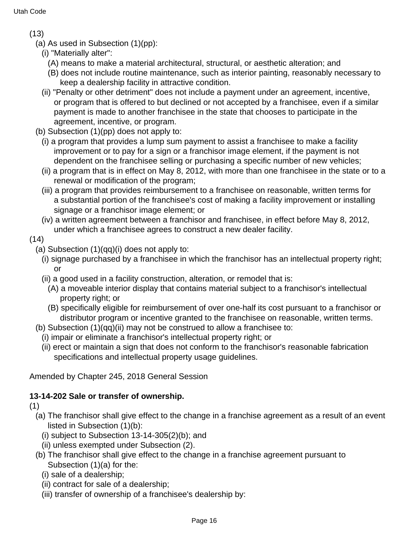(13)

- (a) As used in Subsection (1)(pp):
	- (i) "Materially alter":
		- (A) means to make a material architectural, structural, or aesthetic alteration; and
		- (B) does not include routine maintenance, such as interior painting, reasonably necessary to keep a dealership facility in attractive condition.
	- (ii) "Penalty or other detriment" does not include a payment under an agreement, incentive, or program that is offered to but declined or not accepted by a franchisee, even if a similar payment is made to another franchisee in the state that chooses to participate in the agreement, incentive, or program.
- (b) Subsection (1)(pp) does not apply to:
	- (i) a program that provides a lump sum payment to assist a franchisee to make a facility improvement or to pay for a sign or a franchisor image element, if the payment is not dependent on the franchisee selling or purchasing a specific number of new vehicles;
	- (ii) a program that is in effect on May 8, 2012, with more than one franchisee in the state or to a renewal or modification of the program;
	- (iii) a program that provides reimbursement to a franchisee on reasonable, written terms for a substantial portion of the franchisee's cost of making a facility improvement or installing signage or a franchisor image element; or
	- (iv) a written agreement between a franchisor and franchisee, in effect before May 8, 2012, under which a franchisee agrees to construct a new dealer facility.
- (14)
	- (a) Subsection (1)(qq)(i) does not apply to:
		- (i) signage purchased by a franchisee in which the franchisor has an intellectual property right; or
		- (ii) a good used in a facility construction, alteration, or remodel that is:
			- (A) a moveable interior display that contains material subject to a franchisor's intellectual property right; or
			- (B) specifically eligible for reimbursement of over one-half its cost pursuant to a franchisor or distributor program or incentive granted to the franchisee on reasonable, written terms.
	- (b) Subsection (1)(qq)(ii) may not be construed to allow a franchisee to:
		- (i) impair or eliminate a franchisor's intellectual property right; or
		- (ii) erect or maintain a sign that does not conform to the franchisor's reasonable fabrication specifications and intellectual property usage guidelines.

Amended by Chapter 245, 2018 General Session

# **13-14-202 Sale or transfer of ownership.**

(1)

- (a) The franchisor shall give effect to the change in a franchise agreement as a result of an event listed in Subsection (1)(b):
	- (i) subject to Subsection  $13-14-305(2)(b)$ ; and
	- (ii) unless exempted under Subsection (2).
- (b) The franchisor shall give effect to the change in a franchise agreement pursuant to Subsection (1)(a) for the:
	- (i) sale of a dealership;
	- (ii) contract for sale of a dealership;
	- (iii) transfer of ownership of a franchisee's dealership by: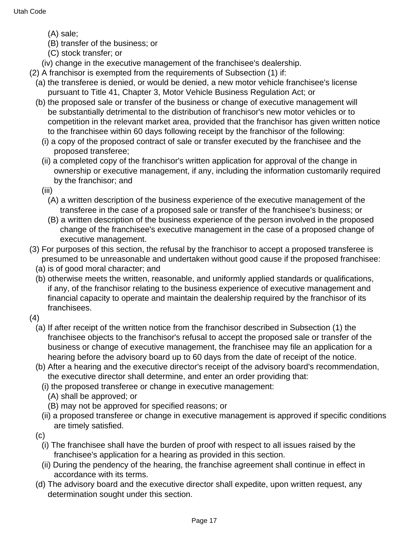- (A) sale;
- (B) transfer of the business; or
- (C) stock transfer; or
- (iv) change in the executive management of the franchisee's dealership.
- (2) A franchisor is exempted from the requirements of Subsection (1) if:
	- (a) the transferee is denied, or would be denied, a new motor vehicle franchisee's license pursuant to Title 41, Chapter 3, Motor Vehicle Business Regulation Act; or
	- (b) the proposed sale or transfer of the business or change of executive management will be substantially detrimental to the distribution of franchisor's new motor vehicles or to competition in the relevant market area, provided that the franchisor has given written notice to the franchisee within 60 days following receipt by the franchisor of the following:
		- (i) a copy of the proposed contract of sale or transfer executed by the franchisee and the proposed transferee;
		- (ii) a completed copy of the franchisor's written application for approval of the change in ownership or executive management, if any, including the information customarily required by the franchisor; and
		- (iii)
			- (A) a written description of the business experience of the executive management of the transferee in the case of a proposed sale or transfer of the franchisee's business; or
			- (B) a written description of the business experience of the person involved in the proposed change of the franchisee's executive management in the case of a proposed change of executive management.
- (3) For purposes of this section, the refusal by the franchisor to accept a proposed transferee is presumed to be unreasonable and undertaken without good cause if the proposed franchisee:
	- (a) is of good moral character; and
	- (b) otherwise meets the written, reasonable, and uniformly applied standards or qualifications, if any, of the franchisor relating to the business experience of executive management and financial capacity to operate and maintain the dealership required by the franchisor of its franchisees.
- (4)
	- (a) If after receipt of the written notice from the franchisor described in Subsection (1) the franchisee objects to the franchisor's refusal to accept the proposed sale or transfer of the business or change of executive management, the franchisee may file an application for a hearing before the advisory board up to 60 days from the date of receipt of the notice.
	- (b) After a hearing and the executive director's receipt of the advisory board's recommendation, the executive director shall determine, and enter an order providing that:
		- (i) the proposed transferee or change in executive management:
			- (A) shall be approved; or
			- (B) may not be approved for specified reasons; or
		- (ii) a proposed transferee or change in executive management is approved if specific conditions are timely satisfied.
	- (c)
		- (i) The franchisee shall have the burden of proof with respect to all issues raised by the franchisee's application for a hearing as provided in this section.
		- (ii) During the pendency of the hearing, the franchise agreement shall continue in effect in accordance with its terms.
	- (d) The advisory board and the executive director shall expedite, upon written request, any determination sought under this section.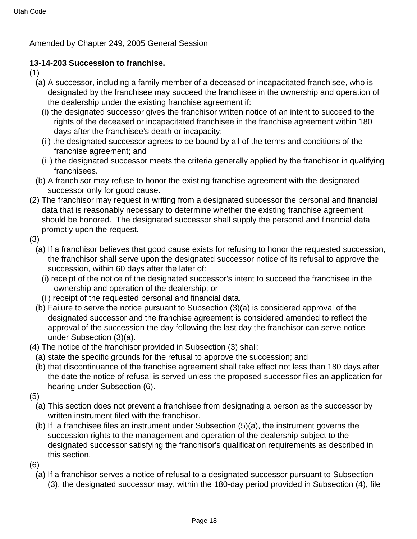Amended by Chapter 249, 2005 General Session

### **13-14-203 Succession to franchise.**

- (1)
	- (a) A successor, including a family member of a deceased or incapacitated franchisee, who is designated by the franchisee may succeed the franchisee in the ownership and operation of the dealership under the existing franchise agreement if:
		- (i) the designated successor gives the franchisor written notice of an intent to succeed to the rights of the deceased or incapacitated franchisee in the franchise agreement within 180 days after the franchisee's death or incapacity;
		- (ii) the designated successor agrees to be bound by all of the terms and conditions of the franchise agreement; and
		- (iii) the designated successor meets the criteria generally applied by the franchisor in qualifying franchisees.
	- (b) A franchisor may refuse to honor the existing franchise agreement with the designated successor only for good cause.
- (2) The franchisor may request in writing from a designated successor the personal and financial data that is reasonably necessary to determine whether the existing franchise agreement should be honored. The designated successor shall supply the personal and financial data promptly upon the request.
- (3)
	- (a) If a franchisor believes that good cause exists for refusing to honor the requested succession, the franchisor shall serve upon the designated successor notice of its refusal to approve the succession, within 60 days after the later of:
		- (i) receipt of the notice of the designated successor's intent to succeed the franchisee in the ownership and operation of the dealership; or
		- (ii) receipt of the requested personal and financial data.
	- (b) Failure to serve the notice pursuant to Subsection (3)(a) is considered approval of the designated successor and the franchise agreement is considered amended to reflect the approval of the succession the day following the last day the franchisor can serve notice under Subsection (3)(a).
- (4) The notice of the franchisor provided in Subsection (3) shall:
- (a) state the specific grounds for the refusal to approve the succession; and
- (b) that discontinuance of the franchise agreement shall take effect not less than 180 days after the date the notice of refusal is served unless the proposed successor files an application for hearing under Subsection (6).
- (5)
	- (a) This section does not prevent a franchisee from designating a person as the successor by written instrument filed with the franchisor.
	- (b) If a franchisee files an instrument under Subsection (5)(a), the instrument governs the succession rights to the management and operation of the dealership subject to the designated successor satisfying the franchisor's qualification requirements as described in this section.
- (6)
	- (a) If a franchisor serves a notice of refusal to a designated successor pursuant to Subsection (3), the designated successor may, within the 180-day period provided in Subsection (4), file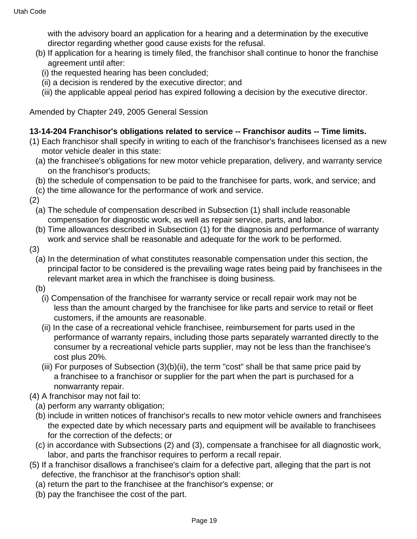with the advisory board an application for a hearing and a determination by the executive director regarding whether good cause exists for the refusal.

- (b) If application for a hearing is timely filed, the franchisor shall continue to honor the franchise agreement until after:
	- (i) the requested hearing has been concluded;
	- (ii) a decision is rendered by the executive director; and
	- (iii) the applicable appeal period has expired following a decision by the executive director.

Amended by Chapter 249, 2005 General Session

### **13-14-204 Franchisor's obligations related to service -- Franchisor audits -- Time limits.**

- (1) Each franchisor shall specify in writing to each of the franchisor's franchisees licensed as a new motor vehicle dealer in this state:
	- (a) the franchisee's obligations for new motor vehicle preparation, delivery, and warranty service on the franchisor's products;
	- (b) the schedule of compensation to be paid to the franchisee for parts, work, and service; and
- (c) the time allowance for the performance of work and service.

(2)

- (a) The schedule of compensation described in Subsection (1) shall include reasonable compensation for diagnostic work, as well as repair service, parts, and labor.
- (b) Time allowances described in Subsection (1) for the diagnosis and performance of warranty work and service shall be reasonable and adequate for the work to be performed.
- (3)
	- (a) In the determination of what constitutes reasonable compensation under this section, the principal factor to be considered is the prevailing wage rates being paid by franchisees in the relevant market area in which the franchisee is doing business.
	- (b)
		- (i) Compensation of the franchisee for warranty service or recall repair work may not be less than the amount charged by the franchisee for like parts and service to retail or fleet customers, if the amounts are reasonable.
		- (ii) In the case of a recreational vehicle franchisee, reimbursement for parts used in the performance of warranty repairs, including those parts separately warranted directly to the consumer by a recreational vehicle parts supplier, may not be less than the franchisee's cost plus 20%.
		- (iii) For purposes of Subsection (3)(b)(ii), the term "cost" shall be that same price paid by a franchisee to a franchisor or supplier for the part when the part is purchased for a nonwarranty repair.
- (4) A franchisor may not fail to:
	- (a) perform any warranty obligation;
	- (b) include in written notices of franchisor's recalls to new motor vehicle owners and franchisees the expected date by which necessary parts and equipment will be available to franchisees for the correction of the defects; or
	- (c) in accordance with Subsections (2) and (3), compensate a franchisee for all diagnostic work, labor, and parts the franchisor requires to perform a recall repair.
- (5) If a franchisor disallows a franchisee's claim for a defective part, alleging that the part is not defective, the franchisor at the franchisor's option shall:
	- (a) return the part to the franchisee at the franchisor's expense; or
	- (b) pay the franchisee the cost of the part.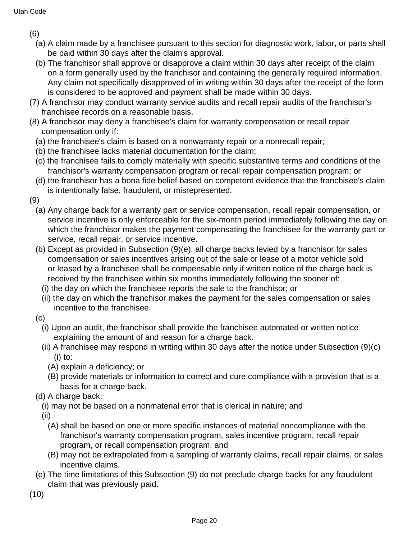(6)

- (a) A claim made by a franchisee pursuant to this section for diagnostic work, labor, or parts shall be paid within 30 days after the claim's approval.
- (b) The franchisor shall approve or disapprove a claim within 30 days after receipt of the claim on a form generally used by the franchisor and containing the generally required information. Any claim not specifically disapproved of in writing within 30 days after the receipt of the form is considered to be approved and payment shall be made within 30 days.
- (7) A franchisor may conduct warranty service audits and recall repair audits of the franchisor's franchisee records on a reasonable basis.
- (8) A franchisor may deny a franchisee's claim for warranty compensation or recall repair compensation only if:
	- (a) the franchisee's claim is based on a nonwarranty repair or a nonrecall repair;
	- (b) the franchisee lacks material documentation for the claim;
	- (c) the franchisee fails to comply materially with specific substantive terms and conditions of the franchisor's warranty compensation program or recall repair compensation program; or
	- (d) the franchisor has a bona fide belief based on competent evidence that the franchisee's claim is intentionally false, fraudulent, or misrepresented.
- (9)
	- (a) Any charge back for a warranty part or service compensation, recall repair compensation, or service incentive is only enforceable for the six-month period immediately following the day on which the franchisor makes the payment compensating the franchisee for the warranty part or service, recall repair, or service incentive.
	- (b) Except as provided in Subsection (9)(e), all charge backs levied by a franchisor for sales compensation or sales incentives arising out of the sale or lease of a motor vehicle sold or leased by a franchisee shall be compensable only if written notice of the charge back is received by the franchisee within six months immediately following the sooner of:
		- (i) the day on which the franchisee reports the sale to the franchisor; or
		- (ii) the day on which the franchisor makes the payment for the sales compensation or sales incentive to the franchisee.
	- (c)
		- (i) Upon an audit, the franchisor shall provide the franchisee automated or written notice explaining the amount of and reason for a charge back.
		- (ii) A franchisee may respond in writing within 30 days after the notice under Subsection (9)(c)  $(i)$  to:
			- (A) explain a deficiency; or
			- (B) provide materials or information to correct and cure compliance with a provision that is a basis for a charge back.
	- (d) A charge back:
		- (i) may not be based on a nonmaterial error that is clerical in nature; and
		- (ii)
			- (A) shall be based on one or more specific instances of material noncompliance with the franchisor's warranty compensation program, sales incentive program, recall repair program, or recall compensation program; and
			- (B) may not be extrapolated from a sampling of warranty claims, recall repair claims, or sales incentive claims.
	- (e) The time limitations of this Subsection (9) do not preclude charge backs for any fraudulent claim that was previously paid.
- (10)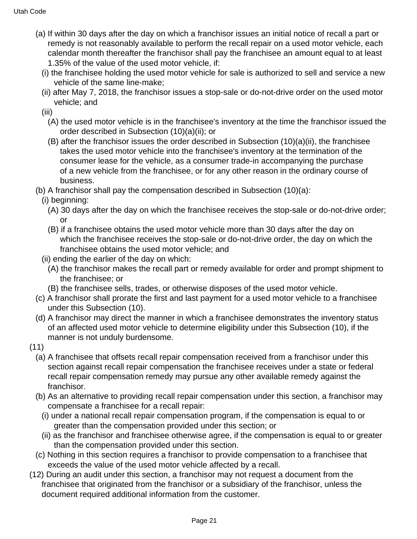- (a) If within 30 days after the day on which a franchisor issues an initial notice of recall a part or remedy is not reasonably available to perform the recall repair on a used motor vehicle, each calendar month thereafter the franchisor shall pay the franchisee an amount equal to at least 1.35% of the value of the used motor vehicle, if:
	- (i) the franchisee holding the used motor vehicle for sale is authorized to sell and service a new vehicle of the same line-make;
	- (ii) after May 7, 2018, the franchisor issues a stop-sale or do-not-drive order on the used motor vehicle; and
	- (iii)
		- (A) the used motor vehicle is in the franchisee's inventory at the time the franchisor issued the order described in Subsection (10)(a)(ii); or
		- (B) after the franchisor issues the order described in Subsection (10)(a)(ii), the franchisee takes the used motor vehicle into the franchisee's inventory at the termination of the consumer lease for the vehicle, as a consumer trade-in accompanying the purchase of a new vehicle from the franchisee, or for any other reason in the ordinary course of business.

(b) A franchisor shall pay the compensation described in Subsection (10)(a):

- (i) beginning:
	- (A) 30 days after the day on which the franchisee receives the stop-sale or do-not-drive order; or
	- (B) if a franchisee obtains the used motor vehicle more than 30 days after the day on which the franchisee receives the stop-sale or do-not-drive order, the day on which the franchisee obtains the used motor vehicle; and
- (ii) ending the earlier of the day on which:
	- (A) the franchisor makes the recall part or remedy available for order and prompt shipment to the franchisee; or
	- (B) the franchisee sells, trades, or otherwise disposes of the used motor vehicle.
- (c) A franchisor shall prorate the first and last payment for a used motor vehicle to a franchisee under this Subsection (10).
- (d) A franchisor may direct the manner in which a franchisee demonstrates the inventory status of an affected used motor vehicle to determine eligibility under this Subsection (10), if the manner is not unduly burdensome.
- (11)
	- (a) A franchisee that offsets recall repair compensation received from a franchisor under this section against recall repair compensation the franchisee receives under a state or federal recall repair compensation remedy may pursue any other available remedy against the franchisor.
	- (b) As an alternative to providing recall repair compensation under this section, a franchisor may compensate a franchisee for a recall repair:
		- (i) under a national recall repair compensation program, if the compensation is equal to or greater than the compensation provided under this section; or
		- (ii) as the franchisor and franchisee otherwise agree, if the compensation is equal to or greater than the compensation provided under this section.
	- (c) Nothing in this section requires a franchisor to provide compensation to a franchisee that exceeds the value of the used motor vehicle affected by a recall.
- (12) During an audit under this section, a franchisor may not request a document from the franchisee that originated from the franchisor or a subsidiary of the franchisor, unless the document required additional information from the customer.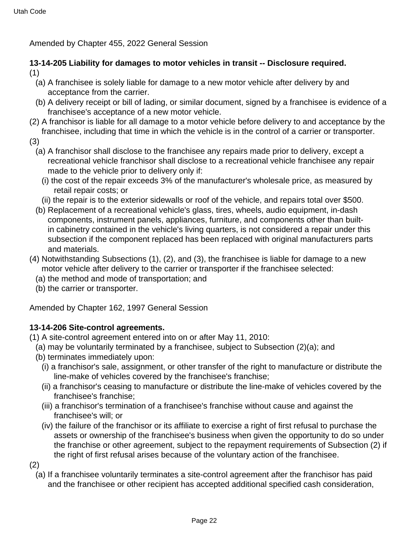Amended by Chapter 455, 2022 General Session

### **13-14-205 Liability for damages to motor vehicles in transit -- Disclosure required.** (1)

- (a) A franchisee is solely liable for damage to a new motor vehicle after delivery by and acceptance from the carrier.
- (b) A delivery receipt or bill of lading, or similar document, signed by a franchisee is evidence of a franchisee's acceptance of a new motor vehicle.
- (2) A franchisor is liable for all damage to a motor vehicle before delivery to and acceptance by the franchisee, including that time in which the vehicle is in the control of a carrier or transporter.
- (3)
	- (a) A franchisor shall disclose to the franchisee any repairs made prior to delivery, except a recreational vehicle franchisor shall disclose to a recreational vehicle franchisee any repair made to the vehicle prior to delivery only if:
		- (i) the cost of the repair exceeds 3% of the manufacturer's wholesale price, as measured by retail repair costs; or
		- (ii) the repair is to the exterior sidewalls or roof of the vehicle, and repairs total over \$500.
	- (b) Replacement of a recreational vehicle's glass, tires, wheels, audio equipment, in-dash components, instrument panels, appliances, furniture, and components other than builtin cabinetry contained in the vehicle's living quarters, is not considered a repair under this subsection if the component replaced has been replaced with original manufacturers parts and materials.
- (4) Notwithstanding Subsections (1), (2), and (3), the franchisee is liable for damage to a new motor vehicle after delivery to the carrier or transporter if the franchisee selected:
	- (a) the method and mode of transportation; and
	- (b) the carrier or transporter.

Amended by Chapter 162, 1997 General Session

# **13-14-206 Site-control agreements.**

(1) A site-control agreement entered into on or after May 11, 2010:

- (a) may be voluntarily terminated by a franchisee, subject to Subsection (2)(a); and
- (b) terminates immediately upon:
	- (i) a franchisor's sale, assignment, or other transfer of the right to manufacture or distribute the line-make of vehicles covered by the franchisee's franchise;
	- (ii) a franchisor's ceasing to manufacture or distribute the line-make of vehicles covered by the franchisee's franchise;
	- (iii) a franchisor's termination of a franchisee's franchise without cause and against the franchisee's will; or
	- (iv) the failure of the franchisor or its affiliate to exercise a right of first refusal to purchase the assets or ownership of the franchisee's business when given the opportunity to do so under the franchise or other agreement, subject to the repayment requirements of Subsection (2) if the right of first refusal arises because of the voluntary action of the franchisee.
- (2)
	- (a) If a franchisee voluntarily terminates a site-control agreement after the franchisor has paid and the franchisee or other recipient has accepted additional specified cash consideration,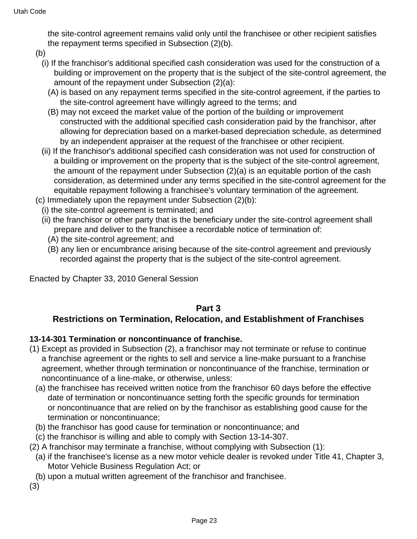the site-control agreement remains valid only until the franchisee or other recipient satisfies the repayment terms specified in Subsection (2)(b).

- (b)
	- (i) If the franchisor's additional specified cash consideration was used for the construction of a building or improvement on the property that is the subject of the site-control agreement, the amount of the repayment under Subsection (2)(a):
		- (A) is based on any repayment terms specified in the site-control agreement, if the parties to the site-control agreement have willingly agreed to the terms; and
		- (B) may not exceed the market value of the portion of the building or improvement constructed with the additional specified cash consideration paid by the franchisor, after allowing for depreciation based on a market-based depreciation schedule, as determined by an independent appraiser at the request of the franchisee or other recipient.
	- (ii) If the franchisor's additional specified cash consideration was not used for construction of a building or improvement on the property that is the subject of the site-control agreement, the amount of the repayment under Subsection (2)(a) is an equitable portion of the cash consideration, as determined under any terms specified in the site-control agreement for the equitable repayment following a franchisee's voluntary termination of the agreement.
- (c) Immediately upon the repayment under Subsection (2)(b):
- (i) the site-control agreement is terminated; and
- (ii) the franchisor or other party that is the beneficiary under the site-control agreement shall prepare and deliver to the franchisee a recordable notice of termination of:
	- (A) the site-control agreement; and
	- (B) any lien or encumbrance arising because of the site-control agreement and previously recorded against the property that is the subject of the site-control agreement.

Enacted by Chapter 33, 2010 General Session

# **Part 3**

# **Restrictions on Termination, Relocation, and Establishment of Franchises**

# **13-14-301 Termination or noncontinuance of franchise.**

- (1) Except as provided in Subsection (2), a franchisor may not terminate or refuse to continue a franchise agreement or the rights to sell and service a line-make pursuant to a franchise agreement, whether through termination or noncontinuance of the franchise, termination or noncontinuance of a line-make, or otherwise, unless:
	- (a) the franchisee has received written notice from the franchisor 60 days before the effective date of termination or noncontinuance setting forth the specific grounds for termination or noncontinuance that are relied on by the franchisor as establishing good cause for the termination or noncontinuance;
	- (b) the franchisor has good cause for termination or noncontinuance; and
- (c) the franchisor is willing and able to comply with Section 13-14-307.
- (2) A franchisor may terminate a franchise, without complying with Subsection (1):
- (a) if the franchisee's license as a new motor vehicle dealer is revoked under Title 41, Chapter 3, Motor Vehicle Business Regulation Act; or
- (b) upon a mutual written agreement of the franchisor and franchisee.
- (3)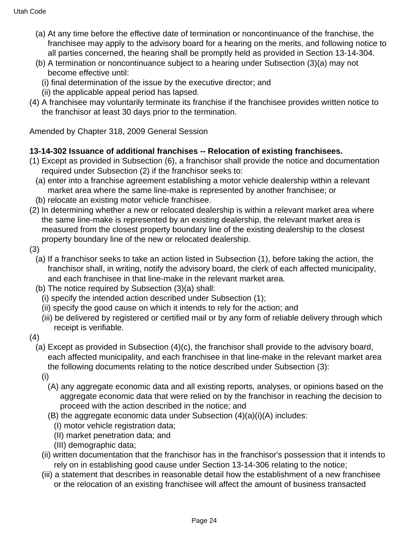- (a) At any time before the effective date of termination or noncontinuance of the franchise, the franchisee may apply to the advisory board for a hearing on the merits, and following notice to all parties concerned, the hearing shall be promptly held as provided in Section 13-14-304.
- (b) A termination or noncontinuance subject to a hearing under Subsection (3)(a) may not become effective until:
	- (i) final determination of the issue by the executive director; and
	- (ii) the applicable appeal period has lapsed.
- (4) A franchisee may voluntarily terminate its franchise if the franchisee provides written notice to the franchisor at least 30 days prior to the termination.

Amended by Chapter 318, 2009 General Session

# **13-14-302 Issuance of additional franchises -- Relocation of existing franchisees.**

- (1) Except as provided in Subsection (6), a franchisor shall provide the notice and documentation required under Subsection (2) if the franchisor seeks to:
	- (a) enter into a franchise agreement establishing a motor vehicle dealership within a relevant market area where the same line-make is represented by another franchisee; or
	- (b) relocate an existing motor vehicle franchisee.
- (2) In determining whether a new or relocated dealership is within a relevant market area where the same line-make is represented by an existing dealership, the relevant market area is measured from the closest property boundary line of the existing dealership to the closest property boundary line of the new or relocated dealership.
- (3)
	- (a) If a franchisor seeks to take an action listed in Subsection (1), before taking the action, the franchisor shall, in writing, notify the advisory board, the clerk of each affected municipality, and each franchisee in that line-make in the relevant market area.
	- (b) The notice required by Subsection (3)(a) shall:
		- (i) specify the intended action described under Subsection (1);
		- (ii) specify the good cause on which it intends to rely for the action; and
		- (iii) be delivered by registered or certified mail or by any form of reliable delivery through which receipt is verifiable.
- (4)
	- (a) Except as provided in Subsection (4)(c), the franchisor shall provide to the advisory board, each affected municipality, and each franchisee in that line-make in the relevant market area the following documents relating to the notice described under Subsection (3):
		- (i)
			- (A) any aggregate economic data and all existing reports, analyses, or opinions based on the aggregate economic data that were relied on by the franchisor in reaching the decision to proceed with the action described in the notice; and
			- (B) the aggregate economic data under Subsection (4)(a)(i)(A) includes:
				- (I) motor vehicle registration data;
				- (II) market penetration data; and
				- (III) demographic data;
		- (ii) written documentation that the franchisor has in the franchisor's possession that it intends to rely on in establishing good cause under Section 13-14-306 relating to the notice;
		- (iii) a statement that describes in reasonable detail how the establishment of a new franchisee or the relocation of an existing franchisee will affect the amount of business transacted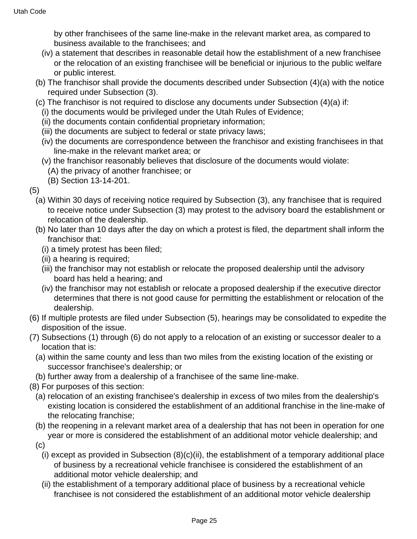by other franchisees of the same line-make in the relevant market area, as compared to business available to the franchisees; and

- (iv) a statement that describes in reasonable detail how the establishment of a new franchisee or the relocation of an existing franchisee will be beneficial or injurious to the public welfare or public interest.
- (b) The franchisor shall provide the documents described under Subsection (4)(a) with the notice required under Subsection (3).
- (c) The franchisor is not required to disclose any documents under Subsection (4)(a) if:
	- (i) the documents would be privileged under the Utah Rules of Evidence;
	- (ii) the documents contain confidential proprietary information;
	- (iii) the documents are subject to federal or state privacy laws;
	- (iv) the documents are correspondence between the franchisor and existing franchisees in that line-make in the relevant market area; or
	- (v) the franchisor reasonably believes that disclosure of the documents would violate:
		- (A) the privacy of another franchisee; or
		- (B) Section 13-14-201.

(5)

- (a) Within 30 days of receiving notice required by Subsection (3), any franchisee that is required to receive notice under Subsection (3) may protest to the advisory board the establishment or relocation of the dealership.
- (b) No later than 10 days after the day on which a protest is filed, the department shall inform the franchisor that:
	- (i) a timely protest has been filed;
	- (ii) a hearing is required;
	- (iii) the franchisor may not establish or relocate the proposed dealership until the advisory board has held a hearing; and
	- (iv) the franchisor may not establish or relocate a proposed dealership if the executive director determines that there is not good cause for permitting the establishment or relocation of the dealership.
- (6) If multiple protests are filed under Subsection (5), hearings may be consolidated to expedite the disposition of the issue.
- (7) Subsections (1) through (6) do not apply to a relocation of an existing or successor dealer to a location that is:
	- (a) within the same county and less than two miles from the existing location of the existing or successor franchisee's dealership; or
	- (b) further away from a dealership of a franchisee of the same line-make.
- (8) For purposes of this section:
	- (a) relocation of an existing franchisee's dealership in excess of two miles from the dealership's existing location is considered the establishment of an additional franchise in the line-make of the relocating franchise;
	- (b) the reopening in a relevant market area of a dealership that has not been in operation for one year or more is considered the establishment of an additional motor vehicle dealership; and
	- (c)
		- (i) except as provided in Subsection  $(8)(c)(ii)$ , the establishment of a temporary additional place of business by a recreational vehicle franchisee is considered the establishment of an additional motor vehicle dealership; and
		- (ii) the establishment of a temporary additional place of business by a recreational vehicle franchisee is not considered the establishment of an additional motor vehicle dealership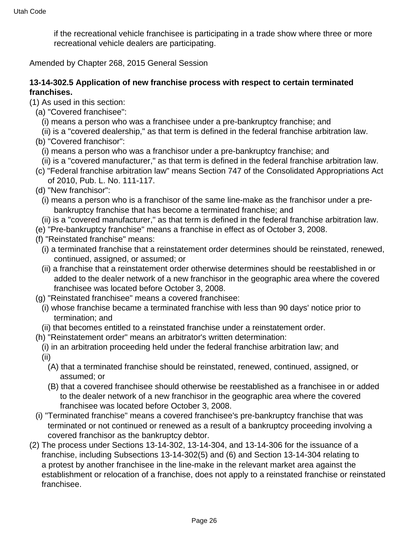if the recreational vehicle franchisee is participating in a trade show where three or more recreational vehicle dealers are participating.

Amended by Chapter 268, 2015 General Session

#### **13-14-302.5 Application of new franchise process with respect to certain terminated franchises.**

- (1) As used in this section:
	- (a) "Covered franchisee":
		- (i) means a person who was a franchisee under a pre-bankruptcy franchise; and
	- (ii) is a "covered dealership," as that term is defined in the federal franchise arbitration law.
	- (b) "Covered franchisor":
		- (i) means a person who was a franchisor under a pre-bankruptcy franchise; and
		- (ii) is a "covered manufacturer," as that term is defined in the federal franchise arbitration law.
	- (c) "Federal franchise arbitration law" means Section 747 of the Consolidated Appropriations Act of 2010, Pub. L. No. 111-117.
	- (d) "New franchisor":
		- (i) means a person who is a franchisor of the same line-make as the franchisor under a prebankruptcy franchise that has become a terminated franchise; and
		- (ii) is a "covered manufacturer," as that term is defined in the federal franchise arbitration law.
	- (e) "Pre-bankruptcy franchise" means a franchise in effect as of October 3, 2008.
	- (f) "Reinstated franchise" means:
		- (i) a terminated franchise that a reinstatement order determines should be reinstated, renewed, continued, assigned, or assumed; or
		- (ii) a franchise that a reinstatement order otherwise determines should be reestablished in or added to the dealer network of a new franchisor in the geographic area where the covered franchisee was located before October 3, 2008.
	- (g) "Reinstated franchisee" means a covered franchisee:
		- (i) whose franchise became a terminated franchise with less than 90 days' notice prior to termination; and
		- (ii) that becomes entitled to a reinstated franchise under a reinstatement order.
	- (h) "Reinstatement order" means an arbitrator's written determination:
	- (i) in an arbitration proceeding held under the federal franchise arbitration law; and (ii)
		- (A) that a terminated franchise should be reinstated, renewed, continued, assigned, or assumed; or
		- (B) that a covered franchisee should otherwise be reestablished as a franchisee in or added to the dealer network of a new franchisor in the geographic area where the covered franchisee was located before October 3, 2008.
	- (i) "Terminated franchise" means a covered franchisee's pre-bankruptcy franchise that was terminated or not continued or renewed as a result of a bankruptcy proceeding involving a covered franchisor as the bankruptcy debtor.
- (2) The process under Sections 13-14-302, 13-14-304, and 13-14-306 for the issuance of a franchise, including Subsections 13-14-302(5) and (6) and Section 13-14-304 relating to a protest by another franchisee in the line-make in the relevant market area against the establishment or relocation of a franchise, does not apply to a reinstated franchise or reinstated franchisee.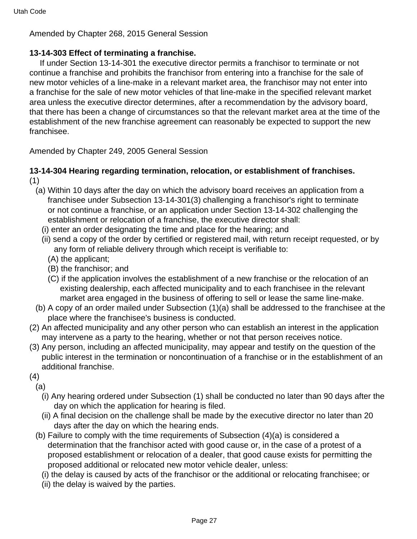Amended by Chapter 268, 2015 General Session

# **13-14-303 Effect of terminating a franchise.**

 If under Section 13-14-301 the executive director permits a franchisor to terminate or not continue a franchise and prohibits the franchisor from entering into a franchise for the sale of new motor vehicles of a line-make in a relevant market area, the franchisor may not enter into a franchise for the sale of new motor vehicles of that line-make in the specified relevant market area unless the executive director determines, after a recommendation by the advisory board, that there has been a change of circumstances so that the relevant market area at the time of the establishment of the new franchise agreement can reasonably be expected to support the new franchisee.

Amended by Chapter 249, 2005 General Session

### **13-14-304 Hearing regarding termination, relocation, or establishment of franchises.** (1)

- (a) Within 10 days after the day on which the advisory board receives an application from a franchisee under Subsection 13-14-301(3) challenging a franchisor's right to terminate or not continue a franchise, or an application under Section 13-14-302 challenging the establishment or relocation of a franchise, the executive director shall:
	- (i) enter an order designating the time and place for the hearing; and
	- (ii) send a copy of the order by certified or registered mail, with return receipt requested, or by any form of reliable delivery through which receipt is verifiable to:
		- (A) the applicant;
		- (B) the franchisor; and
		- (C) if the application involves the establishment of a new franchise or the relocation of an existing dealership, each affected municipality and to each franchisee in the relevant market area engaged in the business of offering to sell or lease the same line-make.
- (b) A copy of an order mailed under Subsection (1)(a) shall be addressed to the franchisee at the place where the franchisee's business is conducted.
- (2) An affected municipality and any other person who can establish an interest in the application may intervene as a party to the hearing, whether or not that person receives notice.
- (3) Any person, including an affected municipality, may appear and testify on the question of the public interest in the termination or noncontinuation of a franchise or in the establishment of an additional franchise.
- (4)
	- (a)
		- (i) Any hearing ordered under Subsection (1) shall be conducted no later than 90 days after the day on which the application for hearing is filed.
		- (ii) A final decision on the challenge shall be made by the executive director no later than 20 days after the day on which the hearing ends.
	- (b) Failure to comply with the time requirements of Subsection (4)(a) is considered a determination that the franchisor acted with good cause or, in the case of a protest of a proposed establishment or relocation of a dealer, that good cause exists for permitting the proposed additional or relocated new motor vehicle dealer, unless:
		- (i) the delay is caused by acts of the franchisor or the additional or relocating franchisee; or
		- (ii) the delay is waived by the parties.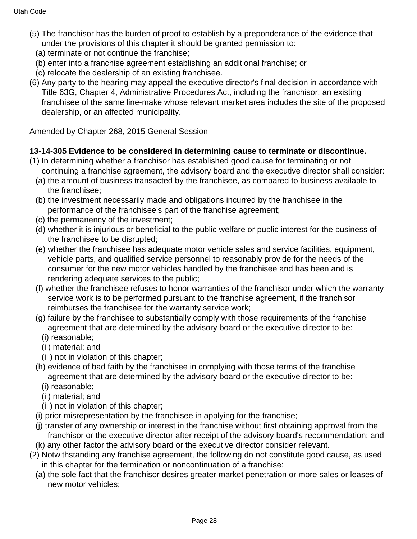- (5) The franchisor has the burden of proof to establish by a preponderance of the evidence that under the provisions of this chapter it should be granted permission to:
	- (a) terminate or not continue the franchise;
	- (b) enter into a franchise agreement establishing an additional franchise; or
	- (c) relocate the dealership of an existing franchisee.
- (6) Any party to the hearing may appeal the executive director's final decision in accordance with Title 63G, Chapter 4, Administrative Procedures Act, including the franchisor, an existing franchisee of the same line-make whose relevant market area includes the site of the proposed dealership, or an affected municipality.

Amended by Chapter 268, 2015 General Session

# **13-14-305 Evidence to be considered in determining cause to terminate or discontinue.**

- (1) In determining whether a franchisor has established good cause for terminating or not continuing a franchise agreement, the advisory board and the executive director shall consider:
	- (a) the amount of business transacted by the franchisee, as compared to business available to the franchisee;
	- (b) the investment necessarily made and obligations incurred by the franchisee in the performance of the franchisee's part of the franchise agreement;
	- (c) the permanency of the investment;
	- (d) whether it is injurious or beneficial to the public welfare or public interest for the business of the franchisee to be disrupted;
	- (e) whether the franchisee has adequate motor vehicle sales and service facilities, equipment, vehicle parts, and qualified service personnel to reasonably provide for the needs of the consumer for the new motor vehicles handled by the franchisee and has been and is rendering adequate services to the public;
	- (f) whether the franchisee refuses to honor warranties of the franchisor under which the warranty service work is to be performed pursuant to the franchise agreement, if the franchisor reimburses the franchisee for the warranty service work;
	- (g) failure by the franchisee to substantially comply with those requirements of the franchise agreement that are determined by the advisory board or the executive director to be:
		- (i) reasonable;
		- (ii) material; and
		- (iii) not in violation of this chapter;
	- (h) evidence of bad faith by the franchisee in complying with those terms of the franchise agreement that are determined by the advisory board or the executive director to be:
		- (i) reasonable;
		- (ii) material; and
		- (iii) not in violation of this chapter;
	- (i) prior misrepresentation by the franchisee in applying for the franchise;
	- (j) transfer of any ownership or interest in the franchise without first obtaining approval from the franchisor or the executive director after receipt of the advisory board's recommendation; and
	- (k) any other factor the advisory board or the executive director consider relevant.
- (2) Notwithstanding any franchise agreement, the following do not constitute good cause, as used in this chapter for the termination or noncontinuation of a franchise:
	- (a) the sole fact that the franchisor desires greater market penetration or more sales or leases of new motor vehicles;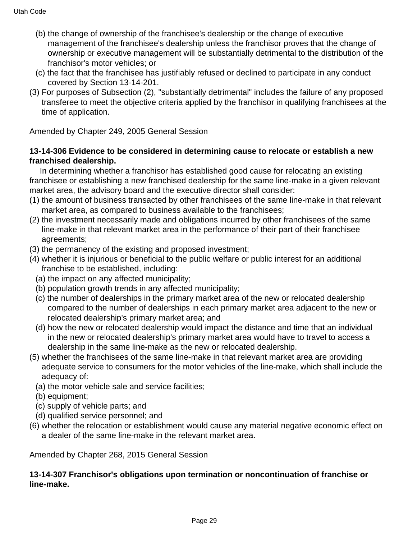- (b) the change of ownership of the franchisee's dealership or the change of executive management of the franchisee's dealership unless the franchisor proves that the change of ownership or executive management will be substantially detrimental to the distribution of the franchisor's motor vehicles; or
- (c) the fact that the franchisee has justifiably refused or declined to participate in any conduct covered by Section 13-14-201.
- (3) For purposes of Subsection (2), "substantially detrimental" includes the failure of any proposed transferee to meet the objective criteria applied by the franchisor in qualifying franchisees at the time of application.

Amended by Chapter 249, 2005 General Session

### **13-14-306 Evidence to be considered in determining cause to relocate or establish a new franchised dealership.**

 In determining whether a franchisor has established good cause for relocating an existing franchisee or establishing a new franchised dealership for the same line-make in a given relevant market area, the advisory board and the executive director shall consider:

- (1) the amount of business transacted by other franchisees of the same line-make in that relevant market area, as compared to business available to the franchisees;
- (2) the investment necessarily made and obligations incurred by other franchisees of the same line-make in that relevant market area in the performance of their part of their franchisee agreements;
- (3) the permanency of the existing and proposed investment;
- (4) whether it is injurious or beneficial to the public welfare or public interest for an additional franchise to be established, including:
	- (a) the impact on any affected municipality;
	- (b) population growth trends in any affected municipality;
	- (c) the number of dealerships in the primary market area of the new or relocated dealership compared to the number of dealerships in each primary market area adjacent to the new or relocated dealership's primary market area; and
	- (d) how the new or relocated dealership would impact the distance and time that an individual in the new or relocated dealership's primary market area would have to travel to access a dealership in the same line-make as the new or relocated dealership.
- (5) whether the franchisees of the same line-make in that relevant market area are providing adequate service to consumers for the motor vehicles of the line-make, which shall include the adequacy of:
	- (a) the motor vehicle sale and service facilities;
	- (b) equipment;
	- (c) supply of vehicle parts; and
	- (d) qualified service personnel; and
- (6) whether the relocation or establishment would cause any material negative economic effect on a dealer of the same line-make in the relevant market area.

Amended by Chapter 268, 2015 General Session

### **13-14-307 Franchisor's obligations upon termination or noncontinuation of franchise or line-make.**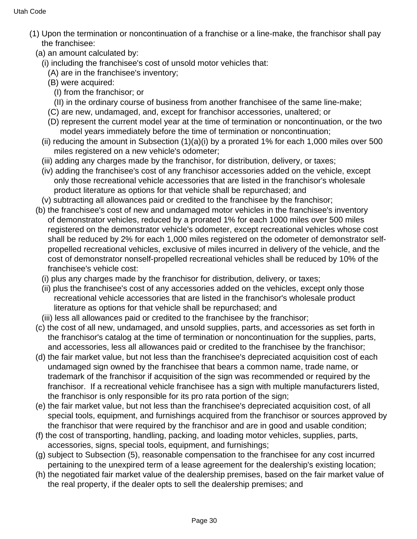- (1) Upon the termination or noncontinuation of a franchise or a line-make, the franchisor shall pay the franchisee:
	- (a) an amount calculated by:
		- (i) including the franchisee's cost of unsold motor vehicles that:
			- (A) are in the franchisee's inventory;
			- (B) were acquired:
				- (I) from the franchisor; or
				- (II) in the ordinary course of business from another franchisee of the same line-make;
			- (C) are new, undamaged, and, except for franchisor accessories, unaltered; or
			- (D) represent the current model year at the time of termination or noncontinuation, or the two model years immediately before the time of termination or noncontinuation;
		- (ii) reducing the amount in Subsection  $(1)(a)(i)$  by a prorated 1% for each 1,000 miles over 500 miles registered on a new vehicle's odometer;
		- (iii) adding any charges made by the franchisor, for distribution, delivery, or taxes;
		- (iv) adding the franchisee's cost of any franchisor accessories added on the vehicle, except only those recreational vehicle accessories that are listed in the franchisor's wholesale product literature as options for that vehicle shall be repurchased; and
	- (v) subtracting all allowances paid or credited to the franchisee by the franchisor;
	- (b) the franchisee's cost of new and undamaged motor vehicles in the franchisee's inventory of demonstrator vehicles, reduced by a prorated 1% for each 1000 miles over 500 miles registered on the demonstrator vehicle's odometer, except recreational vehicles whose cost shall be reduced by 2% for each 1,000 miles registered on the odometer of demonstrator selfpropelled recreational vehicles, exclusive of miles incurred in delivery of the vehicle, and the cost of demonstrator nonself-propelled recreational vehicles shall be reduced by 10% of the franchisee's vehicle cost:
		- (i) plus any charges made by the franchisor for distribution, delivery, or taxes;
		- (ii) plus the franchisee's cost of any accessories added on the vehicles, except only those recreational vehicle accessories that are listed in the franchisor's wholesale product literature as options for that vehicle shall be repurchased; and
		- (iii) less all allowances paid or credited to the franchisee by the franchisor;
	- (c) the cost of all new, undamaged, and unsold supplies, parts, and accessories as set forth in the franchisor's catalog at the time of termination or noncontinuation for the supplies, parts, and accessories, less all allowances paid or credited to the franchisee by the franchisor;
	- (d) the fair market value, but not less than the franchisee's depreciated acquisition cost of each undamaged sign owned by the franchisee that bears a common name, trade name, or trademark of the franchisor if acquisition of the sign was recommended or required by the franchisor. If a recreational vehicle franchisee has a sign with multiple manufacturers listed, the franchisor is only responsible for its pro rata portion of the sign;
	- (e) the fair market value, but not less than the franchisee's depreciated acquisition cost, of all special tools, equipment, and furnishings acquired from the franchisor or sources approved by the franchisor that were required by the franchisor and are in good and usable condition;
	- (f) the cost of transporting, handling, packing, and loading motor vehicles, supplies, parts, accessories, signs, special tools, equipment, and furnishings;
	- (g) subject to Subsection (5), reasonable compensation to the franchisee for any cost incurred pertaining to the unexpired term of a lease agreement for the dealership's existing location;
	- (h) the negotiated fair market value of the dealership premises, based on the fair market value of the real property, if the dealer opts to sell the dealership premises; and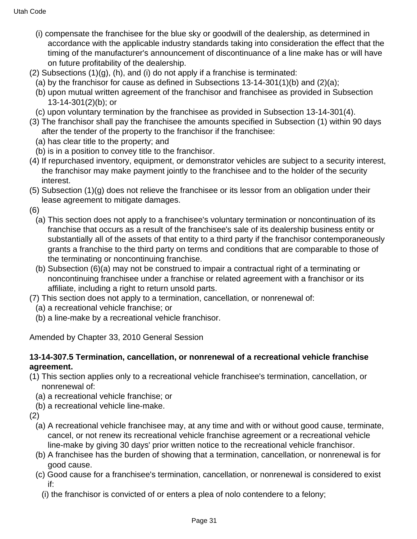- (i) compensate the franchisee for the blue sky or goodwill of the dealership, as determined in accordance with the applicable industry standards taking into consideration the effect that the timing of the manufacturer's announcement of discontinuance of a line make has or will have on future profitability of the dealership.
- $(2)$  Subsections  $(1)(q)$ ,  $(h)$ , and  $(i)$  do not apply if a franchise is terminated:
	- (a) by the franchisor for cause as defined in Subsections 13-14-301(1)(b) and (2)(a);
	- (b) upon mutual written agreement of the franchisor and franchisee as provided in Subsection 13-14-301(2)(b); or
- (c) upon voluntary termination by the franchisee as provided in Subsection 13-14-301(4).
- (3) The franchisor shall pay the franchisee the amounts specified in Subsection (1) within 90 days after the tender of the property to the franchisor if the franchisee:
	- (a) has clear title to the property; and
	- (b) is in a position to convey title to the franchisor.
- (4) If repurchased inventory, equipment, or demonstrator vehicles are subject to a security interest, the franchisor may make payment jointly to the franchisee and to the holder of the security interest.
- (5) Subsection (1)(g) does not relieve the franchisee or its lessor from an obligation under their lease agreement to mitigate damages.
- (6)
	- (a) This section does not apply to a franchisee's voluntary termination or noncontinuation of its franchise that occurs as a result of the franchisee's sale of its dealership business entity or substantially all of the assets of that entity to a third party if the franchisor contemporaneously grants a franchise to the third party on terms and conditions that are comparable to those of the terminating or noncontinuing franchise.
	- (b) Subsection (6)(a) may not be construed to impair a contractual right of a terminating or noncontinuing franchisee under a franchise or related agreement with a franchisor or its affiliate, including a right to return unsold parts.
- (7) This section does not apply to a termination, cancellation, or nonrenewal of:
	- (a) a recreational vehicle franchise; or
	- (b) a line-make by a recreational vehicle franchisor.

Amended by Chapter 33, 2010 General Session

### **13-14-307.5 Termination, cancellation, or nonrenewal of a recreational vehicle franchise agreement.**

- (1) This section applies only to a recreational vehicle franchisee's termination, cancellation, or nonrenewal of:
	- (a) a recreational vehicle franchise; or
	- (b) a recreational vehicle line-make.
- (2)
	- (a) A recreational vehicle franchisee may, at any time and with or without good cause, terminate, cancel, or not renew its recreational vehicle franchise agreement or a recreational vehicle line-make by giving 30 days' prior written notice to the recreational vehicle franchisor.
	- (b) A franchisee has the burden of showing that a termination, cancellation, or nonrenewal is for good cause.
	- (c) Good cause for a franchisee's termination, cancellation, or nonrenewal is considered to exist if:
		- (i) the franchisor is convicted of or enters a plea of nolo contendere to a felony;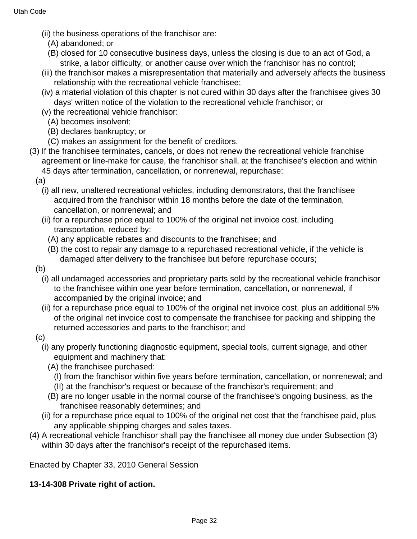- (ii) the business operations of the franchisor are:
	- (A) abandoned; or
	- (B) closed for 10 consecutive business days, unless the closing is due to an act of God, a strike, a labor difficulty, or another cause over which the franchisor has no control;
- (iii) the franchisor makes a misrepresentation that materially and adversely affects the business relationship with the recreational vehicle franchisee;
- (iv) a material violation of this chapter is not cured within 30 days after the franchisee gives 30 days' written notice of the violation to the recreational vehicle franchisor; or
- (v) the recreational vehicle franchisor:
	- (A) becomes insolvent;
	- (B) declares bankruptcy; or
	- (C) makes an assignment for the benefit of creditors.
- (3) If the franchisee terminates, cancels, or does not renew the recreational vehicle franchise agreement or line-make for cause, the franchisor shall, at the franchisee's election and within 45 days after termination, cancellation, or nonrenewal, repurchase:
	- (a)
		- (i) all new, unaltered recreational vehicles, including demonstrators, that the franchisee acquired from the franchisor within 18 months before the date of the termination, cancellation, or nonrenewal; and
		- (ii) for a repurchase price equal to 100% of the original net invoice cost, including transportation, reduced by:
			- (A) any applicable rebates and discounts to the franchisee; and
			- (B) the cost to repair any damage to a repurchased recreational vehicle, if the vehicle is damaged after delivery to the franchisee but before repurchase occurs;
	- (b)
		- (i) all undamaged accessories and proprietary parts sold by the recreational vehicle franchisor to the franchisee within one year before termination, cancellation, or nonrenewal, if accompanied by the original invoice; and
		- (ii) for a repurchase price equal to 100% of the original net invoice cost, plus an additional 5% of the original net invoice cost to compensate the franchisee for packing and shipping the returned accessories and parts to the franchisor; and
	- (c)
		- (i) any properly functioning diagnostic equipment, special tools, current signage, and other equipment and machinery that:
			- (A) the franchisee purchased:
				- (I) from the franchisor within five years before termination, cancellation, or nonrenewal; and
				- (II) at the franchisor's request or because of the franchisor's requirement; and
			- (B) are no longer usable in the normal course of the franchisee's ongoing business, as the franchisee reasonably determines; and
		- (ii) for a repurchase price equal to 100% of the original net cost that the franchisee paid, plus any applicable shipping charges and sales taxes.
- (4) A recreational vehicle franchisor shall pay the franchisee all money due under Subsection (3) within 30 days after the franchisor's receipt of the repurchased items.

Enacted by Chapter 33, 2010 General Session

#### **13-14-308 Private right of action.**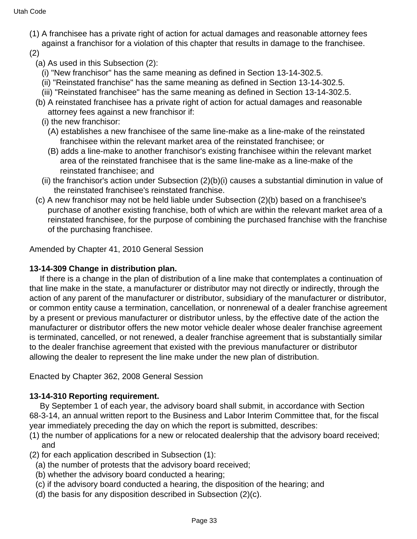- (1) A franchisee has a private right of action for actual damages and reasonable attorney fees against a franchisor for a violation of this chapter that results in damage to the franchisee.
- (2)
	- (a) As used in this Subsection (2):
		- (i) "New franchisor" has the same meaning as defined in Section 13-14-302.5.
		- (ii) "Reinstated franchise" has the same meaning as defined in Section 13-14-302.5.
		- (iii) "Reinstated franchisee" has the same meaning as defined in Section 13-14-302.5.
	- (b) A reinstated franchisee has a private right of action for actual damages and reasonable attorney fees against a new franchisor if:
		- (i) the new franchisor:
			- (A) establishes a new franchisee of the same line-make as a line-make of the reinstated franchisee within the relevant market area of the reinstated franchisee; or
			- (B) adds a line-make to another franchisor's existing franchisee within the relevant market area of the reinstated franchisee that is the same line-make as a line-make of the reinstated franchisee; and
		- (ii) the franchisor's action under Subsection (2)(b)(i) causes a substantial diminution in value of the reinstated franchisee's reinstated franchise.
	- (c) A new franchisor may not be held liable under Subsection (2)(b) based on a franchisee's purchase of another existing franchise, both of which are within the relevant market area of a reinstated franchisee, for the purpose of combining the purchased franchise with the franchise of the purchasing franchisee.

Amended by Chapter 41, 2010 General Session

### **13-14-309 Change in distribution plan.**

 If there is a change in the plan of distribution of a line make that contemplates a continuation of that line make in the state, a manufacturer or distributor may not directly or indirectly, through the action of any parent of the manufacturer or distributor, subsidiary of the manufacturer or distributor, or common entity cause a termination, cancellation, or nonrenewal of a dealer franchise agreement by a present or previous manufacturer or distributor unless, by the effective date of the action the manufacturer or distributor offers the new motor vehicle dealer whose dealer franchise agreement is terminated, cancelled, or not renewed, a dealer franchise agreement that is substantially similar to the dealer franchise agreement that existed with the previous manufacturer or distributor allowing the dealer to represent the line make under the new plan of distribution.

Enacted by Chapter 362, 2008 General Session

# **13-14-310 Reporting requirement.**

 By September 1 of each year, the advisory board shall submit, in accordance with Section 68-3-14, an annual written report to the Business and Labor Interim Committee that, for the fiscal year immediately preceding the day on which the report is submitted, describes:

- (1) the number of applications for a new or relocated dealership that the advisory board received; and
- (2) for each application described in Subsection (1):
	- (a) the number of protests that the advisory board received;
	- (b) whether the advisory board conducted a hearing;
	- (c) if the advisory board conducted a hearing, the disposition of the hearing; and
	- (d) the basis for any disposition described in Subsection (2)(c).